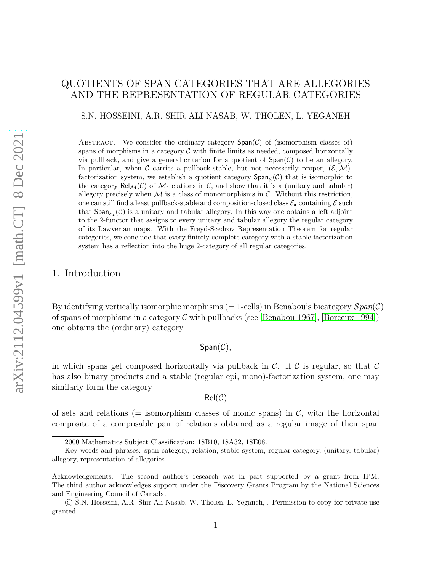# QUOTIENTS OF SPAN CATEGORIES THAT ARE ALLEGORIES AND THE REPRESENTATION OF REGULAR CATEGORIES

S.N. HOSSEINI, A.R. SHIR ALI NASAB, W. THOLEN, L. YEGANEH

ABSTRACT. We consider the ordinary category  $Span(\mathcal{C})$  of (isomorphism classes of) spans of morphisms in a category  $C$  with finite limits as needed, composed horizontally via pullback, and give a general criterion for a quotient of  $Span(\mathcal{C})$  to be an allegory. In particular, when C carries a pullback-stable, but not necessarily proper,  $(\mathcal{E}, \mathcal{M})$ factorization system, we establish a quotient category  $\textsf{Span}_{\mathcal{E}}(\mathcal{C})$  that is isomorphic to the category  $\text{Rel}_{\mathcal{M}}(\mathcal{C})$  of M-relations in  $\mathcal{C}$ , and show that it is a (unitary and tabular) allegory precisely when  $M$  is a class of monomorphisms in  $C$ . Without this restriction, one can still find a least pullback-stable and composition-closed class  $\mathcal{E}_{\bullet}$  containing  $\mathcal{E}$  such that  $Span_{\mathcal{E}_{\bullet}}(\mathcal{C})$  is a unitary and tabular allegory. In this way one obtains a left adjoint to the 2-functor that assigns to every unitary and tabular allegory the regular category of its Lawverian maps. With the Freyd-Scedrov Representation Theorem for regular categories, we conclude that every finitely complete category with a stable factorization system has a reflection into the huge 2-category of all regular categories.

## 1. Introduction

By identifying vertically isomorphic morphisms (= 1-cells) in Benabou's bicategory  $Span(\mathcal{C})$ of spans of morphisms in a category  $\mathcal C$  with pullbacks (see [Bénabou 1967], [\[Borceux 1994\]](#page-26-1)) one obtains the (ordinary) category

## $Span(\mathcal{C}),$

in which spans get composed horizontally via pullback in C. If C is regular, so that C has also binary products and a stable (regular epi, mono)-factorization system, one may similarly form the category

#### $Rel(\mathcal{C})$

of sets and relations (= isomorphism classes of monic spans) in  $\mathcal{C}$ , with the horizontal composite of a composable pair of relations obtained as a regular image of their span

<sup>2000</sup> Mathematics Subject Classification: 18B10, 18A32, 18E08.

Key words and phrases: span category, relation, stable system, regular category, (unitary, tabular) allegory, representation of allegories.

Acknowledgements: The second author's research was in part supported by a grant from IPM. The third author acknowledges support under the Discovery Grants Program by the National Sciences and Engineering Council of Canada.

<sup>©</sup> S.N. Hosseini, A.R. Shir Ali Nasab, W. Tholen, L. Yeganeh, . Permission to copy for private use granted.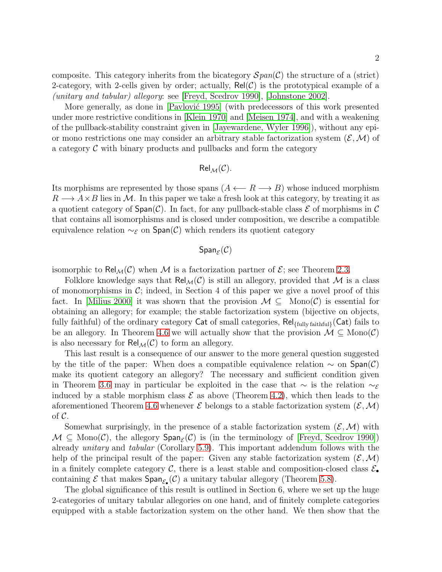composite. This category inherits from the bicategory  $\mathcal{S}$  pan(C) the structure of a (strict) 2-category, with 2-cells given by order; actually,  $\text{Rel}(\mathcal{C})$  is the prototypical example of a (unitary and tabular) allegory: see [\[Freyd, Scedrov 1990\]](#page-26-2), [\[Johnstone 2002\]](#page-26-3).

More generally, as done in [Pavlović 1995] (with predecessors of this work presented under more restrictive conditions in [\[Klein 1970\]](#page-26-4) and [\[Meisen 1974\]](#page-26-5), and with a weakening of the pullback-stability constraint given in [Jayewardene, Wyler 1996]), without any epior mono restrictions one may consider an arbitrary stable factorization system  $(\mathcal{E}, \mathcal{M})$  of a category  $\mathcal C$  with binary products and pullbacks and form the category

$$
\mathsf{Rel}_{\mathcal{M}}(\mathcal{C}).
$$

Its morphisms are represented by those spans  $(A \leftarrow R \rightarrow B)$  whose induced morphism  $R \longrightarrow A \times B$  lies in M. In this paper we take a fresh look at this category, by treating it as a quotient category of  $Span(\mathcal{C})$ . In fact, for any pullback-stable class  $\mathcal E$  of morphisms in  $\mathcal C$ that contains all isomorphisms and is closed under composition, we describe a compatible equivalence relation  $\sim_{\mathcal{E}}$  on  $\text{Span}(\mathcal{C})$  which renders its quotient category

# $\mathsf{Span}_\mathcal{E}(\mathcal{C})$

isomorphic to Rel<sub>M</sub>(C) when M is a factorization partner of  $\mathcal{E}$ ; see Theorem [2.3.](#page-4-0)

Folklore knowledge says that  $Rel_{\mathcal{M}}(\mathcal{C})$  is still an allegory, provided that M is a class of monomorphisms in  $\mathcal{C}$ ; indeed, in Section 4 of this paper we give a novel proof of this fact. In [\[Milius 2000\]](#page-26-6) it was shown that the provision  $\mathcal{M} \subseteq \text{Mono}(\mathcal{C})$  is essential for obtaining an allegory; for example; the stable factorization system (bijective on objects, fully faithful) of the ordinary category Cat of small categories,  $\text{Rel}_{\text{full}}_{\text{faithful}}(Cat)$  fails to be an allegory. In Theorem [4.6](#page-14-0) we will actually show that the provision  $\mathcal{M} \subseteq \text{Mono}(\mathcal{C})$ is also necessary for  $\mathsf{Rel}_{\mathcal{M}}(\mathcal{C})$  to form an allegory.

This last result is a consequence of our answer to the more general question suggested by the title of the paper: When does a compatible equivalence relation  $\sim$  on  $Span(\mathcal{C})$ make its quotient category an allegory? The necessary and sufficient condition given in Theorem [3.6](#page-11-0) may in particular be exploited in the case that  $\sim$  is the relation  $\sim_{\mathcal{E}}$ induced by a stable morphism class  $\mathcal E$  as above (Theorem [4.2\)](#page-13-0), which then leads to the aforementioned Theorem [4.6](#page-14-0) whenever  $\mathcal E$  belongs to a stable factorization system  $(\mathcal E,\mathcal M)$ of  $\mathcal{C}$ .

Somewhat surprisingly, in the presence of a stable factorization system  $(\mathcal{E}, \mathcal{M})$  with  $M \subseteq \text{Mono}(\mathcal{C})$ , the allegory  $\text{Span}_{\mathcal{E}}(\mathcal{C})$  is (in the terminology of [\[Freyd, Scedrov 1990\]](#page-26-2)) already unitary and tabular (Corollary [5.9\)](#page-21-0). This important addendum follows with the help of the principal result of the paper: Given any stable factorization system  $(\mathcal{E},\mathcal{M})$ in a finitely complete category C, there is a least stable and composition-closed class  $\mathcal{E}_{\bullet}$ containing  $\mathcal E$  that makes  $\textsf{Span}_{\mathcal E_\bullet}(\mathcal C)$  a unitary tabular allegory (Theorem [5.8\)](#page-20-0).

The global significance of this result is outlined in Section 6, where we set up the huge 2-categories of unitary tabular allegories on one hand, and of finitely complete categories equipped with a stable factorization system on the other hand. We then show that the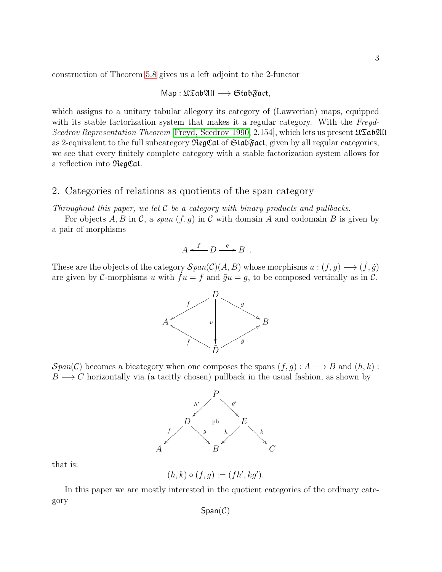construction of Theorem [5.8](#page-20-0) gives us a left adjoint to the 2-functor

$$
\mathsf{Map}:\mathfrak{U}\mathfrak{Tab}\mathfrak{AU}\longrightarrow \mathfrak{Stab}\mathfrak{Fact},
$$

which assigns to a unitary tabular allegory its category of (Lawverian) maps, equipped with its stable factorization system that makes it a regular category. With the Freyd-Scedrov Representation Theorem [\[Freyd, Scedrov 1990,](#page-26-2) 2.154], which lets us present  $\mathfrak{U}\mathfrak{S}\mathfrak{g}\mathfrak{V}\mathfrak{U}\mathfrak{U}$ as 2-equivalent to the full subcategory  $\Re$ egCat of  $\Im$ tab $\Im$ act, given by all regular categories, we see that every finitely complete category with a stable factorization system allows for a reflection into RegCat.

### 2. Categories of relations as quotients of the span category

Throughout this paper, we let  $C$  be a category with binary products and pullbacks.

For objects A, B in C, a span  $(f, g)$  in C with domain A and codomain B is given by a pair of morphisms

$$
A \xleftarrow{f} D \xrightarrow{g} B \ .
$$

These are the objects of the category  $\mathcal{S}pan(\mathcal{C})(A, B)$  whose morphisms  $u : (f, g) \longrightarrow (\tilde{f}, \tilde{g})$ are given by C-morphisms u with  $\tilde{f}u = f$  and  $\tilde{g}u = g$ , to be composed vertically as in C.



 $Span(\mathcal{C})$  becomes a bicategory when one composes the spans  $(f, g) : A \longrightarrow B$  and  $(h, k)$ :  $B \longrightarrow C$  horizontally via (a tacitly chosen) pullback in the usual fashion, as shown by



that is:

$$
(h,k)\circ (f,g):=(fh',kg').
$$

In this paper we are mostly interested in the quotient categories of the ordinary category

 $Span(\mathcal{C})$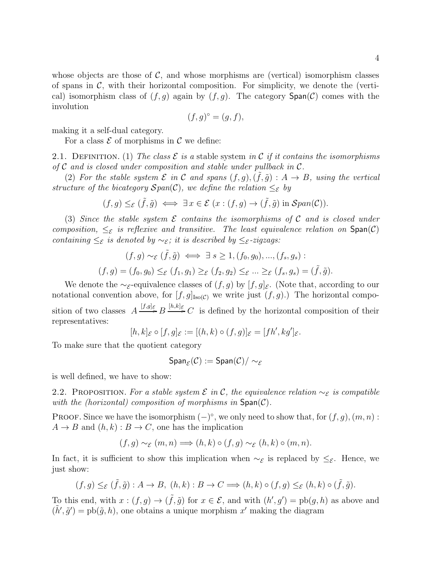whose objects are those of  $\mathcal{C}$ , and whose morphisms are (vertical) isomorphism classes of spans in  $\mathcal{C}$ , with their horizontal composition. For simplicity, we denote the (vertical) isomorphism class of  $(f, q)$  again by  $(f, q)$ . The category  $\text{Span}(\mathcal{C})$  comes with the involution

$$
(f,g)^{\circ} = (g,f),
$$

making it a self-dual category.

For a class  $\mathcal E$  of morphisms in  $\mathcal C$  we define:

<span id="page-3-0"></span>2.1. DEFINITION. (1) The class  $\mathcal E$  is a stable system in C if it contains the isomorphisms of  $\mathcal C$  and is closed under composition and stable under pullback in  $\mathcal C$ .

(2) For the stable system  $\mathcal E$  in  $\mathcal C$  and spans  $(f,g),(\tilde f,\tilde g): A\to B$ , using the vertical structure of the bicategory  $Span(\mathcal{C})$ , we define the relation  $\leq_{\mathcal{E}}$  by

$$
(f,g) \leq_{\mathcal{E}} (\tilde{f}, \tilde{g}) \iff \exists x \in \mathcal{E} \ (x : (f,g) \to (\tilde{f}, \tilde{g}) \text{ in } \mathcal{S}pan(\mathcal{C})).
$$

(3) Since the stable system  $\mathcal E$  contains the isomorphisms of  $\mathcal C$  and is closed under composition,  $\leq_{\mathcal{E}}$  is reflexive and transitive. The least equivalence relation on  $Span(\mathcal{C})$ containing  $\leq_{\mathcal{E}}$  is denoted by  $\sim_{\mathcal{E}}$ ; it is described by  $\leq_{\mathcal{E}}$ -zigzags:

$$
(f,g) \sim_{\mathcal{E}} (\tilde{f}, \tilde{g}) \iff \exists s \ge 1, (f_0, g_0), ..., (f_s, g_s) :
$$
  

$$
(f,g) = (f_0, g_0) \le_{\mathcal{E}} (f_1, g_1) \ge_{\mathcal{E}} (f_2, g_2) \le_{\mathcal{E}} ... \ge_{\mathcal{E}} (f_s, g_s) = (\tilde{f}, \tilde{g}).
$$

We denote the ∼ $_{\mathcal{E}}$ -equivalence classes of  $(f, g)$  by  $[f, g]_{\mathcal{E}}$ . (Note that, according to our notational convention above, for  $[f, g]_{\text{Iso}(\mathcal{C})}$  we write just  $(f, g)$ .) The horizontal composition of two classes  $A \xrightarrow{[f,g]_{\mathcal{E}}} B \xrightarrow{[h,k]_{\mathcal{E}}} C$  is defined by the horizontal composition of their representatives:

$$
[h,k]_{\mathcal{E}} \circ [f,g]_{\mathcal{E}} := [(h,k) \circ (f,g)]_{\mathcal{E}} = [fh',kg']_{\mathcal{E}}.
$$

To make sure that the quotient category

$$
\mathsf{Span}_{\mathcal{E}}(\mathcal{C}):=\mathsf{Span}(\mathcal{C})/\sim_{\mathcal{E}}
$$

is well defined, we have to show:

2.2. PROPOSITION. For a stable system  $\mathcal E$  in C, the equivalence relation  $\sim_{\mathcal E}$  is compatible with the (horizontal) composition of morphisms in  $Span(\mathcal{C})$ .

PROOF. Since we have the isomorphism  $(-)^\circ$ , we only need to show that, for  $(f, g)$ ,  $(m, n)$ :  $A \to B$  and  $(h, k) : B \to C$ , one has the implication

$$
(f,g) \sim_{\mathcal{E}} (m,n) \Longrightarrow (h,k) \circ (f,g) \sim_{\mathcal{E}} (h,k) \circ (m,n).
$$

In fact, it is sufficient to show this implication when  $\sim_{\mathcal{E}}$  is replaced by  $\leq_{\mathcal{E}}$ . Hence, we just show:

$$
(f,g) \leq_{\mathcal{E}} (\tilde{f}, \tilde{g}) : A \to B, (h,k) : B \to C \Longrightarrow (h,k) \circ (f,g) \leq_{\mathcal{E}} (h,k) \circ (\tilde{f}, \tilde{g}).
$$

To this end, with  $x:(f,g)\to(\tilde{f},\tilde{g})$  for  $x\in\mathcal{E}$ , and with  $(h',g')=\text{pb}(g,h)$  as above and  $(\tilde{h}', \tilde{g}') = \text{pb}(\tilde{g}, h)$ , one obtains a unique morphism x' making the diagram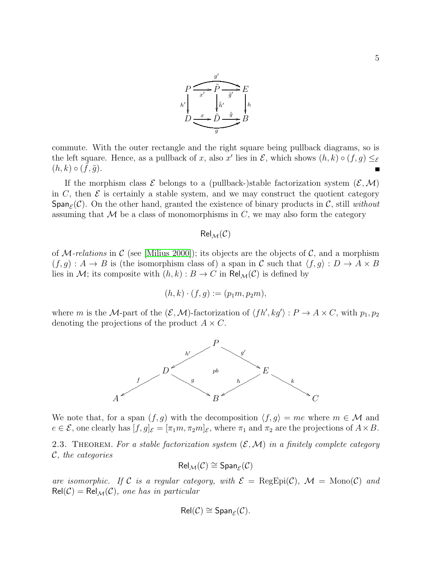

commute. With the outer rectangle and the right square being pullback diagrams, so is the left square. Hence, as a pullback of x, also x' lies in  $\mathcal{E}$ , which shows  $(h, k) \circ (f, g) \leq_{\mathcal{E}}$  $(h, k) \circ (\tilde{f}, \tilde{g}).$  $\blacksquare$ 

If the morphism class  $\mathcal E$  belongs to a (pullback-)stable factorization system  $(\mathcal E,\mathcal M)$ in C, then  $\mathcal E$  is certainly a stable system, and we may construct the quotient category Span<sub>E</sub>(C). On the other hand, granted the existence of binary products in C, still *without* assuming that  $\mathcal M$  be a class of monomorphisms in C, we may also form the category

 $Rel_{\mathcal{M}}(\mathcal{C})$ 

of M-relations in C (see [\[Milius 2000\]](#page-26-6)); its objects are the objects of C, and a morphism  $(f, g) : A \to B$  is (the isomorphism class of) a span in C such that  $\langle f, g \rangle : D \to A \times B$ lies in M; its composite with  $(h, k) : B \to C$  in  $\text{Rel}_M(\mathcal{C})$  is defined by

$$
(h,k)\cdot (f,g):=(p_1m,p_2m),
$$

where m is the M-part of the  $(\mathcal{E}, \mathcal{M})$ -factorization of  $\langle fh', kg' \rangle : P \to A \times C$ , with  $p_1, p_2$ denoting the projections of the product  $A \times C$ .



We note that, for a span  $(f, g)$  with the decomposition  $\langle f, g \rangle = me$  where  $m \in \mathcal{M}$  and  $e \in \mathcal{E}$ , one clearly has  $[f, g]_{\mathcal{E}} = [\pi_1 m, \pi_2 m]_{\mathcal{E}}$ , where  $\pi_1$  and  $\pi_2$  are the projections of  $A \times B$ .

<span id="page-4-0"></span>2.3. THEOREM. For a stable factorization system  $(\mathcal{E}, \mathcal{M})$  in a finitely complete category C, the categories

$$
\mathsf{Rel}_{\mathcal{M}}(\mathcal{C}) \cong \mathsf{Span}_{\mathcal{E}}(\mathcal{C})
$$

are isomorphic. If C is a regular category, with  $\mathcal{E} = \text{RegEpi}(\mathcal{C})$ ,  $\mathcal{M} = \text{Mono}(\mathcal{C})$  and  $Rel(C) = Rel_{\mathcal{M}}(C)$ , one has in particular

$$
\mathsf{Rel}(\mathcal{C}) \cong \mathsf{Span}_{\mathcal{E}}(\mathcal{C}).
$$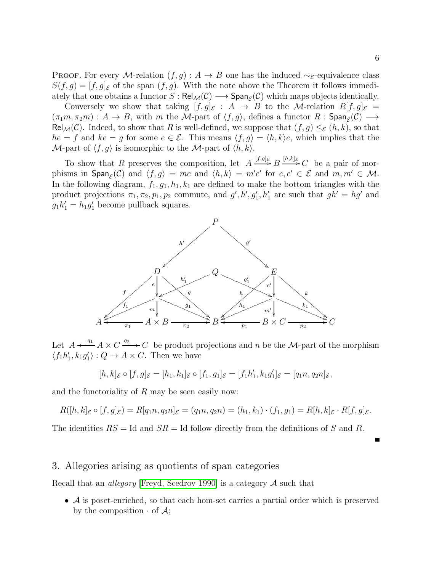PROOF. For every M-relation  $(f, g) : A \to B$  one has the induced ∼ $_{\mathcal{E}}$ -equivalence class  $S(f,g) = [f,g]_{\mathcal{E}}$  of the span  $(f,g)$ . With the note above the Theorem it follows immediately that one obtains a functor  $S: \text{Rel}_{\mathcal{M}}(\mathcal{C}) \longrightarrow \text{Span}_{\mathcal{E}}(\mathcal{C})$  which maps objects identically.

Conversely we show that taking  $[f, g]_{\mathcal{E}} : A \rightarrow B$  to the M-relation  $R[f, g]_{\mathcal{E}} =$  $(\pi_1 m, \pi_2 m) : A \to B$ , with m the M-part of  $\langle f, g \rangle$ , defines a functor R : Span $_{\mathcal{E}}(\mathcal{C}) \longrightarrow$ Rel<sub>M</sub>(C). Indeed, to show that R is well-defined, we suppose that  $(f, g) \leq_{\mathcal{E}} (h, k)$ , so that  $he = f$  and  $ke = g$  for some  $e \in \mathcal{E}$ . This means  $\langle f, g \rangle = \langle h, k \rangle e$ , which implies that the M-part of  $\langle f, g \rangle$  is isomorphic to the M-part of  $\langle h, k \rangle$ .

To show that R preserves the composition, let  $A \xrightarrow{[f,g]\varepsilon} B \xrightarrow{[h,k]\varepsilon} C$  be a pair of morphisms in  $\textsf{Span}_{\mathcal{E}}(\mathcal{C})$  and  $\langle f, g \rangle = me$  and  $\langle h, k \rangle = m'e'$  for  $e, e' \in \mathcal{E}$  and  $m, m' \in \mathcal{M}$ . In the following diagram,  $f_1, g_1, h_1, k_1$  are defined to make the bottom triangles with the product projections  $\pi_1, \pi_2, p_1, p_2$  commute, and  $g', h', g'_1, h'_1$  are such that  $gh' = hg'$  and  $g_1h'_1 = h_1g'_1$  become pullback squares.



Let  $A \leftarrow q_1 A \times C \xrightarrow{q_2} C$  be product projections and n be the M-part of the morphism  $\langle f_1h'_1, k_1g'_1 \rangle : Q \to A \times C$ . Then we have

$$
[h,k]_{\mathcal{E}} \circ [f,g]_{\mathcal{E}} = [h_1,k_1]_{\mathcal{E}} \circ [f_1,g_1]_{\mathcal{E}} = [f_1h'_1,k_1g'_1]_{\mathcal{E}} = [q_1n,q_2n]_{\mathcal{E}},
$$

and the functoriality of  $R$  may be seen easily now:

$$
R([h,k]_{\mathcal{E}} \circ [f,g]_{\mathcal{E}}) = R[q_1n, q_2n]_{\mathcal{E}} = (q_1n, q_2n) = (h_1,k_1) \cdot (f_1,g_1) = R[h,k]_{\mathcal{E}} \cdot R[f,g]_{\mathcal{E}}.
$$

The identities  $RS = Id$  and  $SR = Id$  follow directly from the definitions of S and R.

### 3. Allegories arising as quotients of span categories

Recall that an *allegory* [\[Freyd, Scedrov 1990\]](#page-26-2) is a category  $A$  such that

• A is poset-enriched, so that each hom-set carries a partial order which is preserved by the composition  $\cdot$  of  $\mathcal{A}$ ;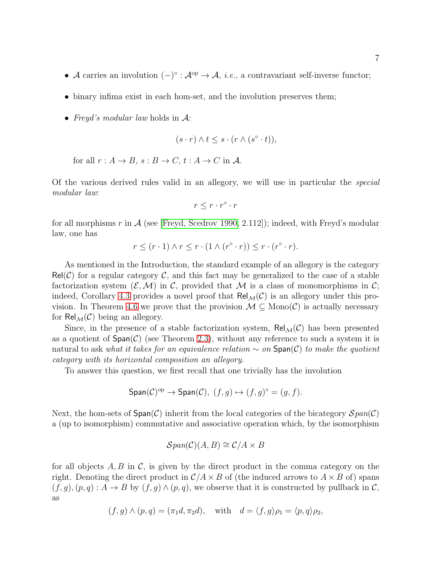- A carries an involution  $(-)^\circ : \mathcal{A}^{\text{op}} \to \mathcal{A}, i.e.,$  a contravariant self-inverse functor;
- binary infima exist in each hom-set, and the involution preserves them;
- Freyd's modular law holds in  $\mathcal{A}$ :

$$
(s \cdot r) \wedge t \leq s \cdot (r \wedge (s^{\circ} \cdot t)),
$$

for all  $r : A \to B$ ,  $s : B \to C$ ,  $t : A \to C$  in A.

Of the various derived rules valid in an allegory, we will use in particular the special modular law:

$$
r \leq r \cdot r^{\circ} \cdot r
$$

for all morphisms r in  $\mathcal A$  (see [\[Freyd, Scedrov 1990,](#page-26-2) 2.112]); indeed, with Freyd's modular law, one has

$$
r \le (r \cdot 1) \land r \le r \cdot (1 \land (r^{\circ} \cdot r)) \le r \cdot (r^{\circ} \cdot r).
$$

As mentioned in the Introduction, the standard example of an allegory is the category  $Rel(\mathcal{C})$  for a regular category  $\mathcal{C}$ , and this fact may be generalized to the case of a stable factorization system  $(\mathcal{E},\mathcal{M})$  in C, provided that M is a class of monomorphisms in C; indeed, Corollary [4.3](#page-13-1) provides a novel proof that  $\text{Rel}_{\mathcal{M}}(\mathcal{C})$  is an allegory under this pro-vision. In Theorem [4.6](#page-14-0) we prove that the provision  $M \subseteq \text{Mono}(\mathcal{C})$  is actually necessary for  $\text{Rel}_{\mathcal{M}}(\mathcal{C})$  being an allegory.

Since, in the presence of a stable factorization system,  $\text{Rel}_{\mathcal{M}}(\mathcal{C})$  has been presented as a quotient of  $Span(\mathcal{C})$  (see Theorem [2.3\)](#page-4-0), without any reference to such a system it is natural to ask what it takes for an equivalence relation  $\sim$  on  $\text{Span}(\mathcal{C})$  to make the quotient category with its horizontal composition an allegory.

To answer this question, we first recall that one trivially has the involution

$$
\mathsf{Span}(\mathcal{C})^{\mathrm{op}} \to \mathsf{Span}(\mathcal{C}), \ (f, g) \mapsto (f, g)^{\circ} = (g, f).
$$

Next, the hom-sets of  $Span(\mathcal{C})$  inherit from the local categories of the bicategory  $Span(\mathcal{C})$ a (up to isomorphism) commutative and associative operation which, by the isomorphism

$$
\mathcal{S}\text{pan}(\mathcal{C})(A, B) \cong \mathcal{C}/A \times B
$$

for all objects  $A, B$  in  $C$ , is given by the direct product in the comma category on the right. Denoting the direct product in  $\mathcal{C}/A \times B$  of (the induced arrows to  $A \times B$  of) spans  $(f, g), (p, q) : A \to B$  by  $(f, g) \wedge (p, q)$ , we observe that it is constructed by pullback in C, as

$$
(f,g) \wedge (p,q) = (\pi_1 d, \pi_2 d),
$$
 with  $d = \langle f, g \rangle \rho_1 = \langle p, q \rangle \rho_2$ ,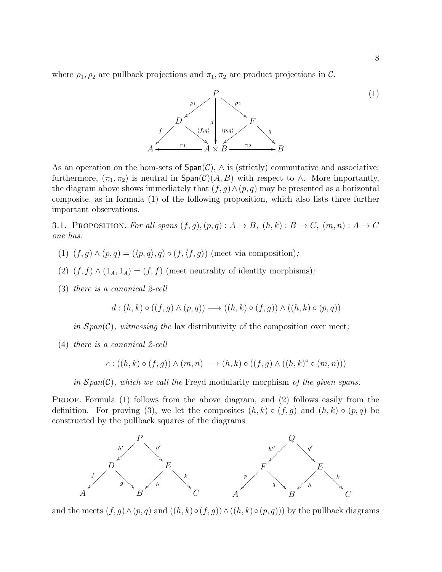where  $\rho_1, \rho_2$  are pullback projections and  $\pi_1, \pi_2$  are product projections in C.



As an operation on the hom-sets of  $Span(\mathcal{C})$ ,  $\wedge$  is (strictly) commutative and associative; furthermore,  $(\pi_1, \pi_2)$  is neutral in  $\textsf{Span}(\mathcal{C})(A, B)$  with respect to  $\wedge$ . More importantly, the diagram above shows immediately that  $(f, g) \wedge (p, q)$  may be presented as a horizontal composite, as in formula (1) of the following proposition, which also lists three further important observations.

<span id="page-7-0"></span>3.1. PROPOSITION. For all spans  $(f, g), (p, q) : A \rightarrow B, (h, k) : B \rightarrow C, (m, n) : A \rightarrow C$ one has:

- (1)  $(f, g) \wedge (p, q) = (\langle p, q \rangle, q) \circ (f, \langle f, g \rangle)$  (meet via composition);
- (2)  $(f, f) \wedge (1_A, 1_A) = (f, f)$  (meet neutrality of identity morphisms);
- (3) there is a canonical 2-cell

 $d : (h, k) \circ ((f, q) \wedge (p, q)) \longrightarrow ((h, k) \circ (f, q)) \wedge ((h, k) \circ (p, q))$ 

in  $Span(\mathcal{C})$ , witnessing the lax distributivity of the composition over meet;

(4) there is a canonical 2-cell

$$
c: ((h,k) \circ (f,g)) \wedge (m,n) \longrightarrow (h,k) \circ ((f,g) \wedge ((h,k) \circ (m,n)))
$$

in  $Span(\mathcal{C})$ , which we call the Freyd modularity morphism of the given spans.

PROOF. Formula (1) follows from the above diagram, and (2) follows easily from the definition. For proving (3), we let the composites  $(h, k) \circ (f, g)$  and  $(h, k) \circ (p, q)$  be constructed by the pullback squares of the diagrams



and the meets  $(f, g) \wedge (p, q)$  and  $((h, k) \circ (f, g)) \wedge ((h, k) \circ (p, q)))$  by the pullback diagrams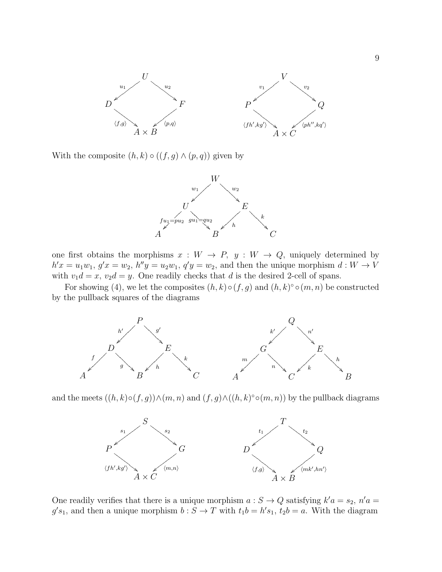

With the composite  $(h, k) \circ ((f, g) \wedge (p, q))$  given by



one first obtains the morphisms  $x : W \to P$ ,  $y : W \to Q$ , uniquely determined by  $h'x = u_1w_1, g'x = w_2, h''y = u_2w_1, q'y = w_2$ , and then the unique morphism  $d: W \to V$ with  $v_1d = x$ ,  $v_2d = y$ . One readily checks that d is the desired 2-cell of spans.

For showing (4), we let the composites  $(h, k) \circ (f, g)$  and  $(h, k) \circ (m, n)$  be constructed by the pullback squares of the diagrams



and the meets  $((h,k)\circ (f,g)) \wedge (m,n)$  and  $(f,g) \wedge ((h,k) \circ (m,n))$  by the pullback diagrams



One readily verifies that there is a unique morphism  $a: S \to Q$  satisfying  $k'a = s_2$ ,  $n'a =$  $g's_1$ , and then a unique morphism  $b: S \to T$  with  $t_1b = h's_1$ ,  $t_2b = a$ . With the diagram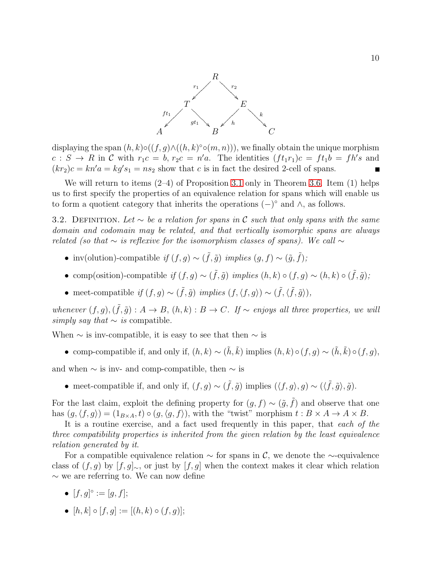

displaying the span  $(h, k) \circ ((f, g) \land ((h, k) \circ (m, n)))$ , we finally obtain the unique morphism  $c: S \to R$  in C with  $r_1c = b, r_2c = n'a$ . The identities  $(f t_1r_1)c = ft_1b = fh's$  and  $(kr_2)c = kn'a = kg's_1 = ns_2$  show that c is in fact the desired 2-cell of spans.

We will return to items (2–4) of Proposition [3.1](#page-7-0) only in Theorem [3.6.](#page-11-0) Item (1) helps us to first specify the properties of an equivalence relation for spans which will enable us to form a quotient category that inherits the operations  $(-)^\circ$  and  $\wedge$ , as follows.

3.2. DEFINITION. Let  $\sim$  be a relation for spans in C such that only spans with the same domain and codomain may be related, and that vertically isomorphic spans are always related (so that  $\sim$  is reflexive for the isomorphism classes of spans). We call  $\sim$ 

- inv(olution)-compatible if  $(f, g) \sim (\tilde{f}, \tilde{g})$  implies  $(g, f) \sim (\tilde{g}, \tilde{f})$ ;
- comp(osition)-compatible if  $(f, g) \sim (\tilde{f}, \tilde{g})$  implies  $(h, k) \circ (f, g) \sim (h, k) \circ (\tilde{f}, \tilde{g})$ ;
- meet-compatible if  $(f, g) \sim (\tilde{f}, \tilde{g})$  implies  $(f, \langle f, g \rangle) \sim (\tilde{f}, \langle \tilde{f}, \tilde{g} \rangle)$ ,

whenever  $(f, g), (\tilde{f}, \tilde{g}) : A \to B$ ,  $(h, k) : B \to C$ . If  $\sim$  enjoys all three properties, we will simply say that  $\sim$  is compatible.

When  $\sim$  is inv-compatible, it is easy to see that then  $\sim$  is

• comp-compatible if, and only if,  $(h, k) \sim (\tilde{h}, \tilde{k})$  implies  $(h, k) \circ (f, g) \sim (\tilde{h}, \tilde{k}) \circ (f, g)$ ,

and when  $\sim$  is inv- and comp-compatible, then  $\sim$  is

• meet-compatible if, and only if,  $(f, g) \sim (\tilde{f}, \tilde{g})$  implies  $(\langle f, g \rangle, g) \sim (\langle \tilde{f}, \tilde{g} \rangle, \tilde{g})$ .

For the last claim, exploit the defining property for  $(g, f) \sim (\tilde{g}, \tilde{f})$  and observe that one has  $(g, \langle f, g \rangle) = (1_{B \times A}, t) \circ (g, \langle g, f \rangle)$ , with the "twist" morphism  $t : B \times A \rightarrow A \times B$ .

It is a routine exercise, and a fact used frequently in this paper, that each of the three compatibility properties is inherited from the given relation by the least equivalence relation generated by it.

For a compatible equivalence relation  $\sim$  for spans in C, we denote the  $\sim$ -equivalence class of  $(f, g)$  by  $[f, g]_{\sim}$ , or just by  $[f, g]$  when the context makes it clear which relation ∼ we are referring to. We can now define

- $[f, g]^\circ := [g, f];$
- $[h, k] \circ [f, q] := [(h, k) \circ (f, q)]$ ;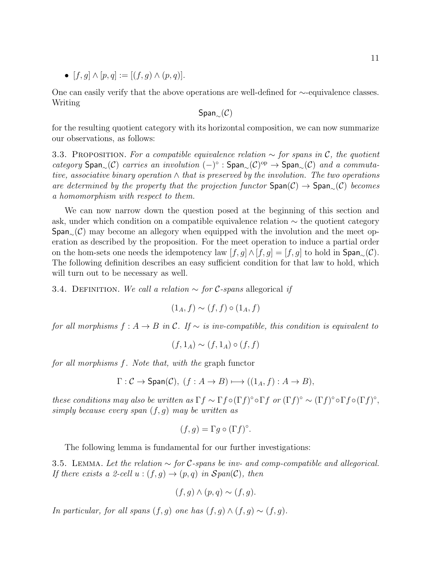•  $[f, g] \wedge [p, q] := [(f, g) \wedge (p, q)].$ 

One can easily verify that the above operations are well-defined for ∼-equivalence classes. Writing

Span∼(C)

for the resulting quotient category with its horizontal composition, we can now summarize our observations, as follows:

<span id="page-10-1"></span>3.3. PROPOSITION. For a compatible equivalence relation  $\sim$  for spans in C, the quotient category  $\text{Span}_{\sim}(\mathcal{C})$  carries an involution  $(-)^\circ$  :  $\text{Span}_{\sim}(\mathcal{C})^{\text{op}} \to \text{Span}_{\sim}(\mathcal{C})$  and a commutative, associative binary operation  $\wedge$  that is preserved by the involution. The two operations are determined by the property that the projection functor  $Span(\mathcal{C}) \rightarrow Span(\mathcal{C})$  becomes a homomorphism with respect to them.

We can now narrow down the question posed at the beginning of this section and ask, under which condition on a compatible equivalence relation ∼ the quotient category  $Span(0)$  may become an allegory when equipped with the involution and the meet operation as described by the proposition. For the meet operation to induce a partial order on the hom-sets one needs the idempotency law  $[f, g] \wedge [f, g] = [f, g]$  to hold in  $\text{Span}_{\sim}(\mathcal{C})$ . The following definition describes an easy sufficient condition for that law to hold, which will turn out to be necessary as well.

<span id="page-10-2"></span>3.4. DEFINITION. We call a relation  $\sim$  for C-spans allegorical if

$$
(1_A, f) \sim (f, f) \circ (1_A, f)
$$

for all morphisms  $f : A \to B$  in C. If  $\sim$  is inv-compatible, this condition is equivalent to

$$
(f,1_A) \sim (f,1_A) \circ (f,f)
$$

for all morphisms f. Note that, with the graph functor

$$
\Gamma: \mathcal{C} \to \text{Span}(\mathcal{C}), \ (f: A \to B) \longmapsto ((1_A, f): A \to B),
$$

these conditions may also be written as  $\Gamma f \sim \Gamma f \circ (\Gamma f) \circ \Gamma f$  or  $(\Gamma f) \circ \sim (\Gamma f) \circ \Gamma f \circ (\Gamma f) \circ$ , simply because every span  $(f, g)$  may be written as

$$
(f,g) = \Gamma g \circ (\Gamma f)^{\circ}.
$$

The following lemma is fundamental for our further investigations:

<span id="page-10-0"></span>3.5. LEMMA. Let the relation  $\sim$  for C-spans be inv- and comp-compatible and allegorical. If there exists a 2-cell  $u:(f,g)\to (p,q)$  in  $Span(\mathcal{C})$ , then

$$
(f,g)\wedge (p,q)\sim (f,g).
$$

In particular, for all spans  $(f, g)$  one has  $(f, g) \wedge (f, g) \sim (f, g)$ .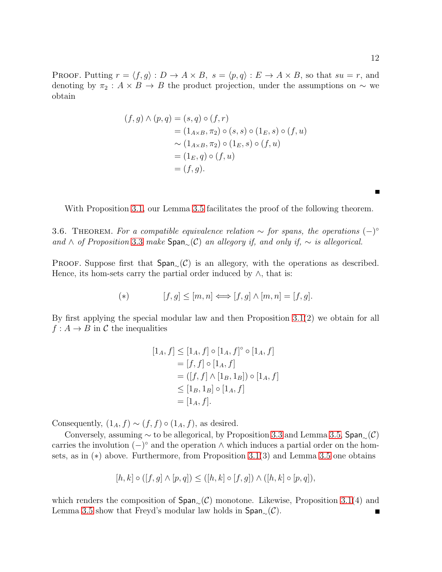**PROOF.** Putting  $r = \langle f, g \rangle : D \to A \times B$ ,  $s = \langle p, q \rangle : E \to A \times B$ , so that  $su = r$ , and denoting by  $\pi_2$  :  $A \times B \to B$  the product projection, under the assumptions on  $\sim$  we obtain

$$
(f,g) \land (p,q) = (s,q) \circ (f,r)
$$
  
=  $(1_{A \times B}, \pi_2) \circ (s,s) \circ (1_E, s) \circ (f, u)$   
 $\sim (1_{A \times B}, \pi_2) \circ (1_E, s) \circ (f, u)$   
=  $(1_E, q) \circ (f, u)$   
=  $(f, g).$ 

With Proposition [3.1,](#page-7-0) our Lemma [3.5](#page-10-0) facilitates the proof of the following theorem.

<span id="page-11-0"></span>3.6. THEOREM. For a compatible equivalence relation  $\sim$  for spans, the operations  $(-)^{\circ}$ and ∧ of Proposition [3.3](#page-10-1) make  $Span_{\sim}(\mathcal{C})$  an allegory if, and only if,  $\sim$  is allegorical.

PROOF. Suppose first that  $Span_{\alpha}(\mathcal{C})$  is an allegory, with the operations as described. Hence, its hom-sets carry the partial order induced by  $\wedge$ , that is:

$$
(*) \qquad [f,g] \leq [m,n] \Longleftrightarrow [f,g] \wedge [m,n] = [f,g].
$$

By first applying the special modular law and then Proposition [3.1\(](#page-7-0)2) we obtain for all  $f: A \to B$  in C the inequalities

$$
[1_A, f] \leq [1_A, f] \circ [1_A, f]^{\circ} \circ [1_A, f]
$$
  
=  $[f, f] \circ [1_A, f]$   
=  $([f, f] \wedge [1_B, 1_B]) \circ [1_A, f]$   
 $\leq [1_B, 1_B] \circ [1_A, f]$   
=  $[1_A, f]$ .

Consequently,  $(1_A, f) \sim (f, f) \circ (1_A, f)$ , as desired.

Conversely, assuming  $\sim$  to be allegorical, by Proposition [3.3](#page-10-1) and Lemma [3.5,](#page-10-0) Span<sub>∼</sub>(C) carries the involution  $(-)^\circ$  and the operation  $\wedge$  which induces a partial order on the homsets, as in (∗) above. Furthermore, from Proposition [3.1\(](#page-7-0)3) and Lemma [3.5](#page-10-0) one obtains

$$
[h,k] \circ ([f,g] \wedge [p,q]) \leq ([h,k] \circ [f,g]) \wedge ([h,k] \circ [p,q]),
$$

which renders the composition of  $Span_\sim(\mathcal{C})$  monotone. Likewise, Proposition [3.1\(](#page-7-0)4) and Lemma [3.5](#page-10-0) show that Freyd's modular law holds in  $Span_{\sim}(\mathcal{C})$ .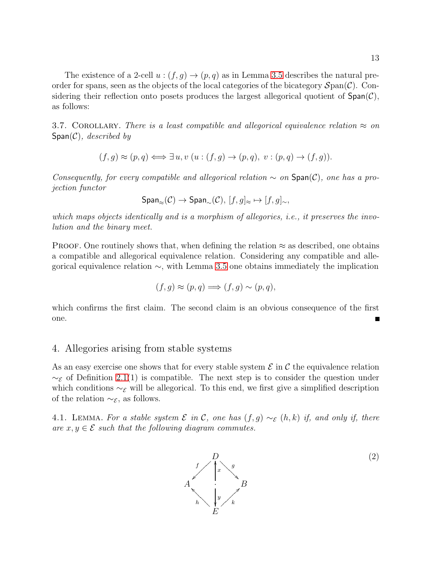The existence of a 2-cell  $u:(f,g)\to (p,q)$  as in Lemma [3.5](#page-10-0) describes the natural preorder for spans, seen as the objects of the local categories of the bicategory  $\mathcal{S}$ pan( $\mathcal{C}$ ). Considering their reflection onto posets produces the largest allegorical quotient of  $Span(\mathcal{C})$ , as follows:

3.7. COROLLARY. There is a least compatible and allegorical equivalence relation  $\approx$  on  $Span(\mathcal{C})$ , described by

$$
(f,g) \approx (p,q) \Longleftrightarrow \exists u, v \ (u: (f,g) \rightarrow (p,q), \ v: (p,q) \rightarrow (f,g)).
$$

Consequently, for every compatible and allegorical relation  $\sim$  on  $Span(\mathcal{C})$ , one has a projection functor

$$
\mathsf{Span}_\approx(\mathcal{C}) \to \mathsf{Span}_\sim(\mathcal{C}), \ [f,g]_\approx \mapsto [f,g]_\sim,
$$

which maps objects identically and is a morphism of allegories, i.e., it preserves the involution and the binary meet.

PROOF. One routinely shows that, when defining the relation  $\approx$  as described, one obtains a compatible and allegorical equivalence relation. Considering any compatible and allegorical equivalence relation ∼, with Lemma [3.5](#page-10-0) one obtains immediately the implication

$$
(f,g) \approx (p,q) \Longrightarrow (f,g) \sim (p,q),
$$

which confirms the first claim. The second claim is an obvious consequence of the first one.

### 4. Allegories arising from stable systems

As an easy exercise one shows that for every stable system  $\mathcal E$  in  $\mathcal C$  the equivalence relation  $~\sim$ ε of Definition [2.1\(](#page-3-0)1) is compatible. The next step is to consider the question under which conditions  $\sim_{\mathcal{E}}$  will be allegorical. To this end, we first give a simplified description of the relation  $\sim_{\mathcal{E}}$ , as follows.

<span id="page-12-0"></span>4.1. LEMMA. For a stable system  $\mathcal E$  in  $\mathcal C$ , one has  $(f, g) \sim_{\mathcal E} (h, k)$  if, and only if, there are  $x, y \in \mathcal{E}$  such that the following diagram commutes.

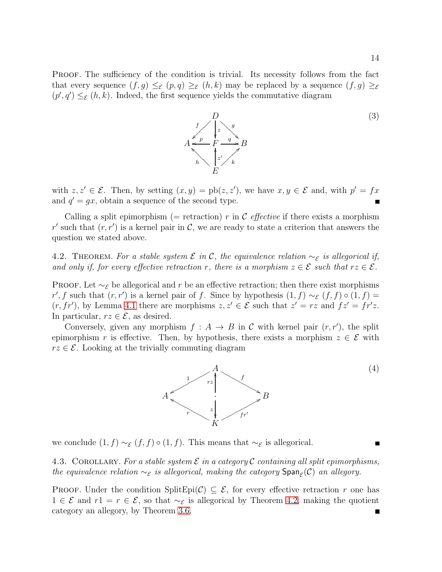PROOF. The sufficiency of the condition is trivial. Its necessity follows from the fact that every sequence  $(f, g) \leq_{\mathcal{E}} (p, q) \geq_{\mathcal{E}} (h, k)$  may be replaced by a sequence  $(f, g) \geq_{\mathcal{E}}$  $(p', q') \leq_{\mathcal{E}} (h, k)$ . Indeed, the first sequence yields the commutative diagram



with  $z, z' \in \mathcal{E}$ . Then, by setting  $(x, y) = \text{pb}(z, z')$ , we have  $x, y \in \mathcal{E}$  and, with  $p' = fx$ and  $q' = gx$ , obtain a sequence of the second type.  $\blacksquare$ 

Calling a split epimorphism (= retraction) r in C effective if there exists a morphism r' such that  $(r, r')$  is a kernel pair in C, we are ready to state a criterion that answers the question we stated above.

<span id="page-13-0"></span>4.2. THEOREM. For a stable system  $\mathcal E$  in  $\mathcal C$ , the equivalence relation  $\sim_{\mathcal E}$  is allegorical if, and only if, for every effective retraction r, there is a morphism  $z \in \mathcal{E}$  such that  $rz \in \mathcal{E}$ .

PROOF. Let  $\sim_{\mathcal{E}}$  be allegorical and r be an effective retraction; then there exist morphisms r', f such that  $(r, r')$  is a kernel pair of f. Since by hypothesis  $(1, f) \sim_{\mathcal{E}} (f, f) \circ (1, f) =$  $(r, fr')$ , by Lemma [4.1](#page-12-0) there are morphisms  $z, z' \in \mathcal{E}$  such that  $z' = rz$  and  $fz' = fr'z$ . In particular,  $rz \in \mathcal{E}$ , as desired.

Conversely, given any morphism  $f : A \to B$  in C with kernel pair  $(r, r')$ , the split epimorphism r is effective. Then, by hypothesis, there exists a morphism  $z \in \mathcal{E}$  with  $rz \in \mathcal{E}$ . Looking at the trivially commuting diagram



<span id="page-13-1"></span>we conclude  $(1, f) \sim_{\mathcal{E}} (f, f) \circ (1, f)$ . This means that  $\sim_{\mathcal{E}}$  is allegorical.

4.3. COROLLARY. For a stable system  $\mathcal E$  in a category  $\mathcal C$  containing all split epimorphisms, the equivalence relation  $\sim_{\mathcal{E}}$  is allegorical, making the category  $\text{Span}_{\mathcal{E}}(\mathcal{C})$  an allegory.

PROOF. Under the condition SplitEpi $(C) \subseteq \mathcal{E}$ , for every effective retraction r one has 1 ∈  $\mathcal{E}$  and  $r1 = r \in \mathcal{E}$ , so that  $\sim_{\mathcal{E}}$  is allegorical by Theorem [4.2,](#page-13-0) making the quotient category an allegory, by Theorem [3.6.](#page-11-0)Е

(4)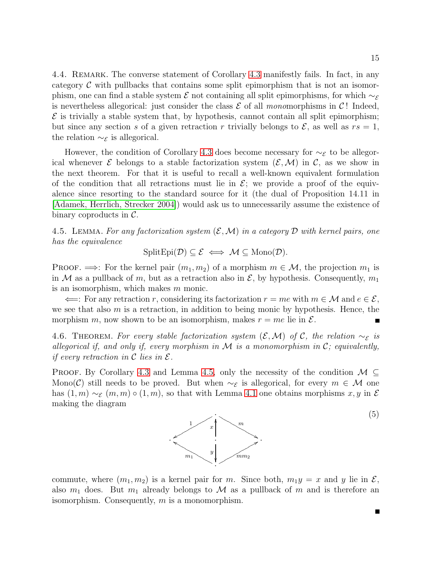15

4.4. REMARK. The converse statement of Corollary [4.3](#page-13-1) manifestly fails. In fact, in any category  $\mathcal C$  with pullbacks that contains some split epimorphism that is not an isomorphism, one can find a stable system  $\mathcal E$  not containing all split epimorphisms, for which  $\sim_{\mathcal E}$ is nevertheless allegorical: just consider the class  $\mathcal E$  of all monomorphisms in C! Indeed,  $\mathcal E$  is trivially a stable system that, by hypothesis, cannot contain all split epimorphism; but since any section s of a given retraction r trivially belongs to  $\mathcal{E}$ , as well as  $rs = 1$ , the relation  $\sim_{\mathcal{E}}$  is allegorical.

However, the condition of Corollary [4.3](#page-13-1) does become necessary for  $\sim_{\mathcal{E}}$  to be allegorical whenever  $\mathcal E$  belongs to a stable factorization system  $(\mathcal E,\mathcal M)$  in  $\mathcal C$ , as we show in the next theorem. For that it is useful to recall a well-known equivalent formulation of the condition that all retractions must lie in  $\mathcal{E}$ ; we provide a proof of the equivalence since resorting to the standard source for it (the dual of Proposition 14.11 in [\[Adamek, Herrlich, Strecker 2004\]](#page-25-0)) would ask us to unnecessarily assume the existence of binary coproducts in  $\mathcal{C}$ .

<span id="page-14-1"></span>4.5. LEMMA. For any factorization system  $(\mathcal{E}, \mathcal{M})$  in a category  $\mathcal D$  with kernel pairs, one has the equivalence

$$
\text{SplitEpi}(\mathcal{D}) \subseteq \mathcal{E} \iff \mathcal{M} \subseteq \text{Mono}(\mathcal{D}).
$$

**PROOF.**  $\implies$ : For the kernel pair  $(m_1, m_2)$  of a morphism  $m \in \mathcal{M}$ , the projection  $m_1$  is in M as a pullback of m, but as a retraction also in  $\mathcal{E}$ , by hypothesis. Consequently,  $m_1$ is an isomorphism, which makes m monic.

 $\Leftarrow$ : For any retraction r, considering its factorization  $r = me$  with  $m \in \mathcal{M}$  and  $e \in \mathcal{E}$ , we see that also  $m$  is a retraction, in addition to being monic by hypothesis. Hence, the morphism m, now shown to be an isomorphism, makes  $r = me$  lie in  $\mathcal{E}$ .

<span id="page-14-0"></span>4.6. THEOREM. For every stable factorization system  $(\mathcal{E}, \mathcal{M})$  of C, the relation  $\sim_{\mathcal{E}}$  is allegorical if, and only if, every morphism in  $\mathcal M$  is a monomorphism in  $\mathcal C$ ; equivalently, if every retraction in  $\mathcal C$  lies in  $\mathcal E$ .

PROOF. By Corollary [4.3](#page-13-1) and Lemma [4.5,](#page-14-1) only the necessity of the condition  $\mathcal{M} \subseteq$ Mono(C) still needs to be proved. But when  $\sim_{\mathcal{E}}$  is allegorical, for every  $m \in \mathcal{M}$  one has  $(1, m) \sim_{\mathcal{E}} (m, m) \circ (1, m)$ , so that with Lemma [4.1](#page-12-0) one obtains morphisms x, y in  $\mathcal{E}$ making the diagram



(5)

commute, where  $(m_1, m_2)$  is a kernel pair for m. Since both,  $m_1y = x$  and y lie in  $\mathcal{E}$ , also  $m_1$  does. But  $m_1$  already belongs to M as a pullback of m and is therefore an isomorphism. Consequently, m is a monomorphism.

Н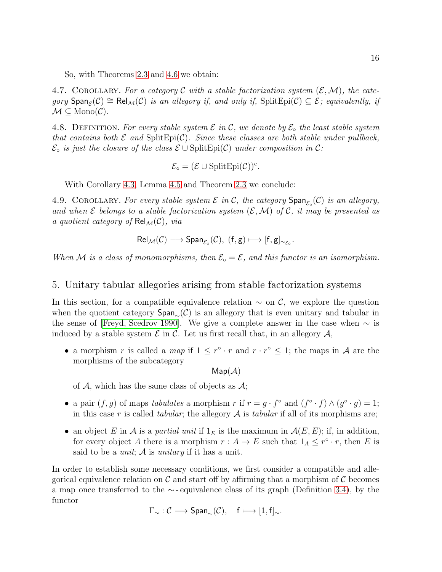So, with Theorems [2.3](#page-4-0) and [4.6](#page-14-0) we obtain:

<span id="page-15-1"></span>4.7. COROLLARY. For a category C with a stable factorization system  $(\mathcal{E},\mathcal{M})$ , the category  $\textsf{Span}_{\mathcal{E}}(\mathcal{C}) \cong \textsf{Rel}_{\mathcal{M}}(\mathcal{C})$  is an allegory if, and only if,  $\text{SplitEpi}(\mathcal{C}) \subseteq \mathcal{E}$ ; equivalently, if  $\mathcal{M} \subseteq \text{Mono}(\mathcal{C})$ .

<span id="page-15-0"></span>4.8. DEFINITION. For every stable system  $\mathcal E$  in  $\mathcal C$ , we denote by  $\mathcal E_\circ$  the least stable system that contains both  $\mathcal E$  and  $\text{SplitEpi}(\mathcal C)$ . Since these classes are both stable under pullback,  $\mathcal{E}_{\circ}$  is just the closure of the class  $\mathcal{E} \cup \text{SplitEpi}(\mathcal{C})$  under composition in C:

$$
\mathcal{E}_\circ = (\mathcal{E} \cup {\rm SplitEpi}(\mathcal{C}))^c.
$$

With Corollary [4.3,](#page-13-1) Lemma [4.5](#page-14-1) and Theorem [2.3](#page-4-0) we conclude:

4.9. COROLLARY. For every stable system  $\mathcal E$  in  $\mathcal C$ , the category  $\textsf{Span}_{\mathcal E_\circ}(\mathcal C)$  is an allegory, and when  $\mathcal E$  belongs to a stable factorization system  $(\mathcal E,\mathcal M)$  of  $\mathcal C$ , it may be presented as a quotient category of  $\mathsf{Rel}_{\mathcal{M}}(\mathcal{C})$ , via

$$
\mathsf{Rel}_{\mathcal{M}}(\mathcal{C}) \longrightarrow \mathsf{Span}_{\mathcal{E}_{\circ}}(\mathcal{C}), \ (\mathsf{f}, \mathsf{g}) \longmapsto [\mathsf{f}, \mathsf{g}]_{\sim_{\mathcal{E}_{\circ}}}.
$$

When M is a class of monomorphisms, then  $\mathcal{E} \circ = \mathcal{E}$ , and this functor is an isomorphism.

#### 5. Unitary tabular allegories arising from stable factorization systems

In this section, for a compatible equivalence relation  $\sim$  on C, we explore the question when the quotient category  $Span_\sim(\mathcal{C})$  is an allegory that is even unitary and tabular in the sense of [\[Freyd, Scedrov 1990\]](#page-26-2). We give a complete answer in the case when  $\sim$  is induced by a stable system  $\mathcal E$  in  $\mathcal C$ . Let us first recall that, in an allegory  $\mathcal A$ ,

• a morphism r is called a map if  $1 \leq r^{\circ} \cdot r$  and  $r \cdot r^{\circ} \leq 1$ ; the maps in A are the morphisms of the subcategory

 $Map(\mathcal{A})$ 

of  $A$ , which has the same class of objects as  $A$ ;

- a pair  $(f, g)$  of maps tabulates a morphism r if  $r = g \cdot f^{\circ}$  and  $(f^{\circ} \cdot f) \wedge (g^{\circ} \cdot g) = 1$ ; in this case r is called tabular; the allegory  $A$  is tabular if all of its morphisms are;
- an object E in A is a partial unit if  $1<sub>E</sub>$  is the maximum in  $\mathcal{A}(E, E)$ ; if, in addition, for every object A there is a morphism  $r : A \to E$  such that  $1_A \leq r^{\circ} \cdot r$ , then E is said to be a *unit*;  $\mathcal A$  is *unitary* if it has a unit.

In order to establish some necessary conditions, we first consider a compatible and allegorical equivalence relation on  $\mathcal C$  and start off by affirming that a morphism of  $\mathcal C$  becomes a map once transferred to the ∼ - equivalence class of its graph (Definition [3.4\)](#page-10-2), by the functor

$$
\Gamma_{\sim} : \mathcal{C} \longrightarrow \text{Span}_{\sim}(\mathcal{C}), \quad f \longmapsto [1, f]_{\sim}.
$$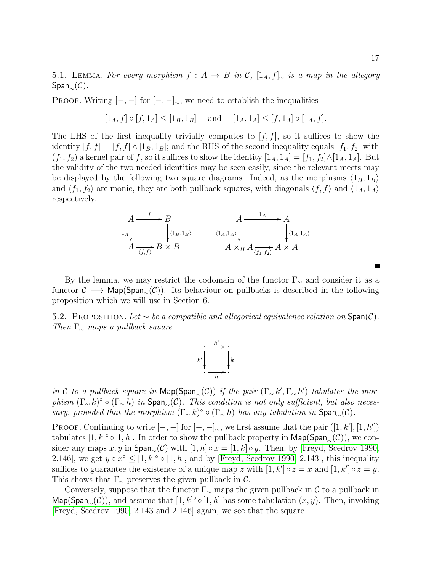5.1. LEMMA. For every morphism  $f : A \to B$  in C,  $[1_A, f]_{\sim}$  is a map in the allegory  $Span_{\sim}(\mathcal{C})$ .

PROOF. Writing  $[-, -]$  for  $[-, -]_{\sim}$ , we need to establish the inequalities

$$
[1_A, f] \circ [f, 1_A] \le [1_B, 1_B]
$$
 and  $[1_A, 1_A] \le [f, 1_A] \circ [1_A, f].$ 

The LHS of the first inequality trivially computes to  $[f, f]$ , so it suffices to show the identity  $[f, f] = [f, f] \wedge [1_B, 1_B]$ ; and the RHS of the second inequality equals  $[f_1, f_2]$  with  $(f_1, f_2)$  a kernel pair of f, so it suffices to show the identity  $[1_A, 1_A] = [f_1, f_2] \wedge [1_A, 1_A]$ . But the validity of the two needed identities may be seen easily, since the relevant meets may be displayed by the following two square diagrams. Indeed, as the morphisms  $\langle 1_B, 1_B \rangle$ and  $\langle f_1, f_2 \rangle$  are monic, they are both pullback squares, with diagonals  $\langle f, f \rangle$  and  $\langle 1_A, 1_A \rangle$ respectively.

$$
A \xrightarrow{f} B
$$
\n
$$
A \xrightarrow{\downarrow A} A
$$
\n
$$
A \xrightarrow{\downarrow \langle 1_B, 1_B \rangle} B \times B
$$
\n
$$
A \times_B A \xrightarrow{\downarrow A} A \times A
$$
\n
$$
A \times_B A \xrightarrow{\downarrow A} A \times A
$$

By the lemma, we may restrict the codomain of the functor  $\Gamma_{\sim}$  and consider it as a functor  $\mathcal{C} \longrightarrow \mathsf{Map}(\mathsf{Span}_{\mathcal{C}}(\mathcal{C}))$ . Its behaviour on pullbacks is described in the following proposition which we will use in Section 6.

<span id="page-16-0"></span>5.2. PROPOSITION. Let ∼ be a compatible and allegorical equivalence relation on  $\text{Span}(\mathcal{C})$ . Then  $\Gamma_{\sim}$  maps a pullback square



in C to a pullback square in  $\textsf{Map}(\textsf{Span}_{\sim}(\mathcal{C}))$  if the pair  $(\Gamma_{\sim} k', \Gamma_{\sim} h')$  tabulates the morphism  $(\Gamma_{\sim} k)$ °  $\circ$   $(\Gamma_{\sim} h)$  in  $\text{Span}_{\sim} (\mathcal{C})$ . This condition is not only sufficient, but also necessary, provided that the morphism  $(\Gamma_{\sim} k)^\circ \circ (\Gamma_{\sim} h)$  has any tabulation in Span<sub>∼</sub>( $\mathcal{C}$ ).

PROOF. Continuing to write  $[-,-]$  for  $[-,-]_{\sim}$ , we first assume that the pair  $([1, k'], [1, h'])$ tabulates  $[1, k]$ ° ∘ $[1, h]$ . In order to show the pullback property in  $\mathsf{Map}(\mathsf{Span}_{\sim}(\mathcal{C}))$ , we consider any maps x, y in  $\textsf{Span}_{\sim}(\mathcal{C})$  with  $[1, h] \circ x = [1, k] \circ y$ . Then, by [\[Freyd, Scedrov 1990,](#page-26-2) 2.146], we get  $y \circ x^{\circ} \leq [1, k]^{\circ} \circ [1, h]$ , and by [\[Freyd, Scedrov 1990,](#page-26-2) 2.143], this inequality suffices to guarantee the existence of a unique map z with  $[1, k'] \circ z = x$  and  $[1, k'] \circ z = y$ . This shows that  $\Gamma_{\sim}$  preserves the given pullback in C.

Conversely, suppose that the functor  $\Gamma_{\sim}$  maps the given pullback in C to a pullback in Map(Span<sub>∼</sub>(C)), and assume that [1, k]° ∘[1, h] has some tabulation  $(x, y)$ . Then, invoking [\[Freyd, Scedrov 1990,](#page-26-2) 2.143 and 2.146] again, we see that the square

Г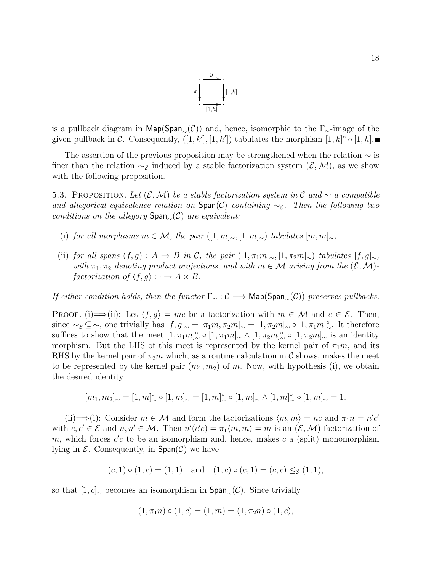

is a pullback diagram in Map(Span<sub>∼</sub>(C)) and, hence, isomorphic to the  $\Gamma_{\sim}$ -image of the given pullback in C. Consequently,  $([1, k'], [1, h'])$  tabulates the morphism  $[1, k] \circ [1, h]$ .

The assertion of the previous proposition may be strengthened when the relation  $\sim$  is finer than the relation  $\sim_{\mathcal{E}}$  induced by a stable factorization system  $(\mathcal{E},\mathcal{M})$ , as we show with the following proposition.

<span id="page-17-0"></span>5.3. PROPOSITION. Let  $(\mathcal{E}, \mathcal{M})$  be a stable factorization system in C and  $\sim$  a compatible and allegorical equivalence relation on  $\text{Span}(\mathcal{C})$  containing  $\sim_{\mathcal{E}}$ . Then the following two conditions on the allegory  $Span_{\sim}(\mathcal{C})$  are equivalent:

- (i) for all morphisms  $m \in \mathcal{M}$ , the pair  $([1, m]_{\sim}, [1, m]_{\sim})$  tabulates  $[m, m]_{\sim}$ ;
- (ii) for all spans  $(f, g) : A \to B$  in C, the pair  $([1, \pi_1 m]_{\sim}, [1, \pi_2 m]_{\sim})$  tabulates  $[f, g]_{\sim}$ , with  $\pi_1, \pi_2$  denoting product projections, and with  $m \in \mathcal{M}$  arising from the  $(\mathcal{E}, \mathcal{M})$ factorization of  $\langle f, g \rangle : \cdot \to A \times B$ .

If either condition holds, then the functor  $\Gamma_{\sim} : \mathcal{C} \longrightarrow \mathsf{Map}(\mathsf{Span}_{\sim}(\mathcal{C}))$  preserves pullbacks.

PROOF. (i)  $\implies$  (ii): Let  $\langle f, g \rangle = me$  be a factorization with  $m \in \mathcal{M}$  and  $e \in \mathcal{E}$ . Then, since  $\sim_{\mathcal{E}} \subseteq \sim$ , one trivially has  $[f, g]_{\sim} = [\pi_1 m, \pi_2 m]_{\sim} = [1, \pi_2 m]_{\sim} \circ [1, \pi_1 m]_{\sim}^{\circ}$ . It therefore suffices to show that the meet  $[1, \pi_1 m]_{\sim}^{\circ} \circ [1, \pi_1 m]_{\sim} \wedge [1, \pi_2 m]_{\sim}^{\circ} \circ [1, \pi_2 m]_{\sim}$  is an identity morphism. But the LHS of this meet is represented by the kernel pair of  $\pi_1 m$ , and its RHS by the kernel pair of  $\pi_2m$  which, as a routine calculation in C shows, makes the meet to be represented by the kernel pair  $(m_1, m_2)$  of m. Now, with hypothesis (i), we obtain the desired identity

$$
[m_1,m_2]_{\sim}=[1,m]^{\circ}_{\sim}\circ[1,m]_{\sim}=[1,m]^{\circ}_{\sim}\circ[1,m]_{\sim}\wedge[1,m]^{\circ}_{\sim}\circ[1,m]_{\sim}=1.
$$

(ii)  $\implies$  (i): Consider  $m \in \mathcal{M}$  and form the factorizations  $\langle m, m \rangle = nc$  and  $\pi_1 n = n'c'$ with  $c, c' \in \mathcal{E}$  and  $n, n' \in \mathcal{M}$ . Then  $n'(c'c) = \pi_1 \langle m, m \rangle = m$  is an  $(\mathcal{E}, \mathcal{M})$ -factorization of m, which forces  $c'c$  to be an isomorphism and, hence, makes c a (split) monomorphism lying in  $\mathcal E$ . Consequently, in  $Span(\mathcal C)$  we have

$$
(c, 1) \circ (1, c) = (1, 1)
$$
 and  $(1, c) \circ (c, 1) = (c, c) \leq_{\mathcal{E}} (1, 1),$ 

so that  $[1, c]_~$  becomes an isomorphism in Span<sub>∼</sub>( $\mathcal{C}$ ). Since trivially

$$
(1, \pi_1 n) \circ (1, c) = (1, m) = (1, \pi_2 n) \circ (1, c),
$$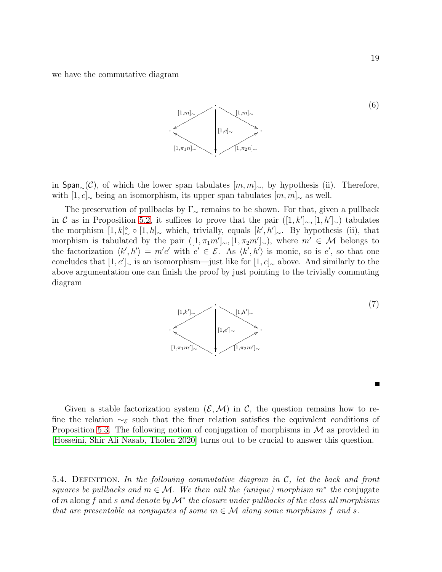we have the commutative diagram



in Span<sub>∼</sub>(C), of which the lower span tabulates  $[m, m]_{\sim}$ , by hypothesis (ii). Therefore, with  $[1, c]_∞$  being an isomorphism, its upper span tabulates  $[m, m]_∞$  as well.

The preservation of pullbacks by  $\Gamma_{\sim}$  remains to be shown. For that, given a pullback in C as in Proposition [5.2,](#page-16-0) it suffices to prove that the pair  $([1, k']_{\sim}, [1, k']_{\sim})$  tabulates the morphism  $[1, k]_{\sim}^{\circ} \circ [1, h]_{\sim}$  which, trivially, equals  $[k', h']_{\sim}$ . By hypothesis (ii), that morphism is tabulated by the pair  $([1, \pi_1 m']_{\sim}, [1, \pi_2 m']_{\sim})$ , where  $m' \in \mathcal{M}$  belongs to the factorization  $\langle k', h' \rangle = m'e'$  with  $e' \in \mathcal{E}$ . As  $\langle k', h' \rangle$  is monic, so is e', so that one concludes that  $[1, e']_{\sim}$  is an isomorphism—just like for  $[1, c]_{\sim}$  above. And similarly to the above argumentation one can finish the proof by just pointing to the trivially commuting diagram



Given a stable factorization system  $(\mathcal{E},\mathcal{M})$  in C, the question remains how to refine the relation  $\sim_{\mathcal{E}}$  such that the finer relation satisfies the equivalent conditions of Proposition [5.3.](#page-17-0) The following notion of conjugation of morphisms in  $\mathcal M$  as provided in [\[Hosseini, Shir Ali Nasab, Tholen 2020\]](#page-26-7) turns out to be crucial to answer this question.

5.4. DEFINITION. In the following commutative diagram in  $\mathcal{C}$ , let the back and front squares be pullbacks and  $m \in \mathcal{M}$ . We then call the (unique) morphism  $m^*$  the conjugate  $\mathop{\mathrm{of}} m$  along  $f$  and  $s$  and denote by  $\mathcal{M}^*$  the closure under pullbacks of the class all morphisms that are presentable as conjugates of some  $m \in \mathcal{M}$  along some morphisms f and s.

(6)

П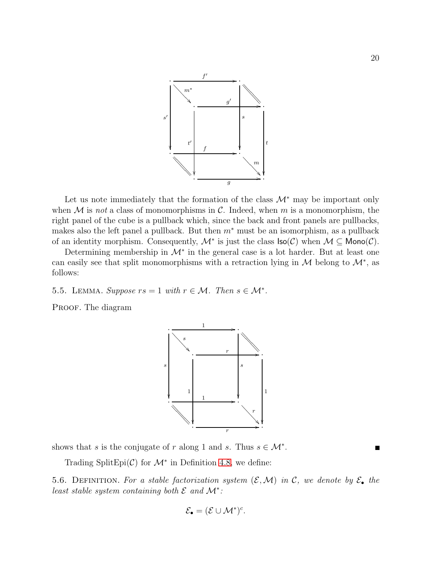

Let us note immediately that the formation of the class  $\mathcal{M}^*$  may be important only when  $M$  is not a class of monomorphisms in  $C$ . Indeed, when  $m$  is a monomorphism, the right panel of the cube is a pullback which, since the back and front panels are pullbacks, makes also the left panel a pullback. But then  $m^*$  must be an isomorphism, as a pullback of an identity morphism. Consequently,  $\mathcal{M}^*$  is just the class  $\textsf{Iso}(\mathcal{C})$  when  $\mathcal{M} \subseteq \textsf{Mono}(\mathcal{C})$ .

Determining membership in  $\mathcal{M}^*$  in the general case is a lot harder. But at least one can easily see that split monomorphisms with a retraction lying in  $M$  belong to  $\mathcal{M}^*$ , as follows:

<span id="page-19-0"></span>5.5. LEMMA. Suppose  $rs = 1$  with  $r \in \mathcal{M}$ . Then  $s \in \mathcal{M}^*$ .

PROOF. The diagram



shows that s is the conjugate of r along 1 and s. Thus  $s \in \mathcal{M}^*$ .

Trading SplitEpi $(C)$  for  $\mathcal{M}^*$  in Definition [4.8,](#page-15-0) we define:

5.6. DEFINITION. For a stable factorization system  $(\mathcal{E}, \mathcal{M})$  in C, we denote by  $\mathcal{E}_{\bullet}$  the least stable system containing both  $\mathcal E$  and  $\mathcal M^*$ :

$$
\mathcal{E}_{\bullet} = (\mathcal{E} \cup \mathcal{M}^*)^c.
$$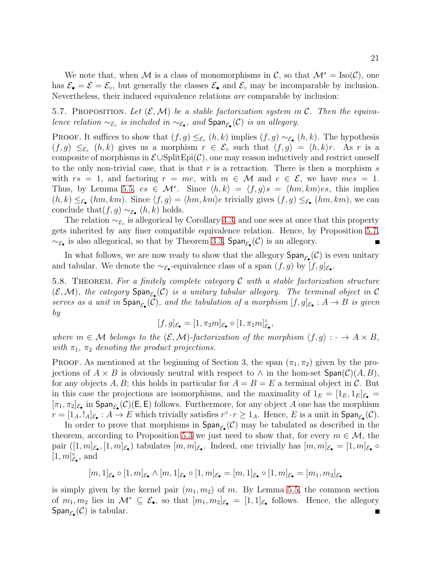We note that, when M is a class of monomorphisms in C, so that  $\mathcal{M}^* = \text{Iso}(\mathcal{C})$ , one has  $\mathcal{E}_{\bullet} = \mathcal{E} = \mathcal{E}_{\circ}$ , but generally the classes  $\mathcal{E}_{\bullet}$  and  $\mathcal{E}_{\circ}$  may be incomparable by inclusion. Nevertheless, their induced equivalence relations are comparable by inclusion:

<span id="page-20-1"></span>5.7. PROPOSITION. Let  $(\mathcal{E}, \mathcal{M})$  be a stable factorization system in C. Then the equivalence relation  $\sim_{\mathcal{E}_{\circ}}$  is included in  $\sim_{\mathcal{E}_{\bullet}}$ , and  $\textsf{Span}_{\mathcal{E}_{\bullet}}(\mathcal{C})$  is an allegory.

PROOF. It suffices to show that  $(f, g) \leq_{\mathcal{E}_{\infty}} (h, k)$  implies  $(f, g) \sim_{\mathcal{E}_{\bullet}} (h, k)$ . The hypothesis  $(f,g) \leq_{\mathcal{E}_{\infty}} (h,k)$  gives us a morphism  $r \in \mathcal{E}_{\infty}$  such that  $\langle f,g \rangle = \langle h,k \rangle r$ . As r is a composite of morphisms in  $\mathcal{E} \cup \mathrm{SplitEpi}(\mathcal{C})$ , one may reason inductively and restrict oneself to the only non-trivial case, that is that r is a retraction. There is then a morphism s with  $rs = 1$ , and factoring  $r = me$ , with  $m \in \mathcal{M}$  and  $e \in \mathcal{E}$ , we have  $mes = 1$ . Thus, by Lemma [5.5,](#page-19-0)  $es \in \mathcal{M}^*$ . Since  $\langle h, k \rangle = \langle f, g \rangle s = \langle hm, km \rangle es$ , this implies  $(h, k) \leq_{\mathcal{E}_{\bullet}} (hm, km)$ . Since  $\langle f, g \rangle = \langle hm, km \rangle e$  trivially gives  $(f, g) \leq_{\mathcal{E}_{\bullet}} (hm, km)$ , we can conclude that $(f, g) \sim_{\mathcal{E}_{\bullet}} (h, k)$  holds.

The relation  $\sim_{\mathcal{E}_{\circ}}$  is allegorical by Corollary [4.3,](#page-13-1) and one sees at once that this property gets inherited by any finer compatible equivalence relation. Hence, by Proposition [5.7,](#page-20-1)  $\sim_{\mathcal{E}_{\bullet}}$  is also allegorical, so that by Theorem [3.3,](#page-10-1) Span<sub> $\mathcal{E}_{\bullet}(\mathcal{C})$ </sub> is an allegory.

In what follows, we are now ready to show that the allegory  $\text{Span}_{\mathcal{E}_{\bullet}}(\mathcal{C})$  is even unitary and tabular. We denote the  $\sim_{\mathcal{E}_{\bullet}}$ -equivalence class of a span  $(f, g)$  by  $[f, g]_{\mathcal{E}_{\bullet}}$ .

<span id="page-20-0"></span>5.8. THEOREM. For a finitely complete category  $\mathcal C$  with a stable factorization structure  $(\mathcal{E},\mathcal{M})$ , the category  $\textsf{Span}_{\mathcal{E}_{\bullet}}(\mathcal{C})$  is a unitary tabular allegory. The terminal object in  $\mathcal{C}$ serves as a unit in  $\textsf{Span}_{\mathcal{E}_{\bullet}}(\mathcal{C})$ , and the tabulation of a morphism  $[f,g]_{\mathcal{E}_{\bullet}}: A \to B$  is given by

$$
[f,g]_{\mathcal{E}_{\bullet}}=[1,\pi_2m]_{\mathcal{E}_{\bullet}}\circ[1,\pi_1m]_{\mathcal{E}_{\bullet}}^{\circ},
$$

where  $m \in \mathcal{M}$  belongs to the  $(\mathcal{E}, \mathcal{M})$ -factorization of the morphism  $\langle f, g \rangle : \cdot \to A \times B$ , with  $\pi_1$ ,  $\pi_2$  denoting the product projections.

**PROOF.** As mentioned at the beginning of Section 3, the span  $(\pi_1, \pi_2)$  given by the projections of  $A \times B$  is obviously neutral with respect to  $\wedge$  in the hom-set  $\text{Span}(\mathcal{C})(A, B)$ , for any objects A, B; this holds in particular for  $A = B = E$  a terminal object in C. But in this case the projections are isomorphisms, and the maximality of  $1_E = [1_E, 1_E]_{\mathcal{E}_{\bullet}} =$  $[\pi_1, \pi_2]_{\mathcal{E}_\bullet}$  in  $\text{Span}_{\mathcal{E}_\bullet}(\mathcal{C})(E, E)$  follows. Furthermore, for any object A one has the morphism  $r = [1_A, 1_A]_{\mathcal{E}_\bullet}: A \to E$  which trivially satisfies  $r^{\circ} \cdot r \geq 1_A$ . Hence, E is a unit in  $\textsf{Span}_{\mathcal{E}_\bullet}(\mathcal{C})$ .

In order to prove that morphisms in  $\text{Span}_{\mathcal{E}_{\bullet}}(\mathcal{C})$  may be tabulated as described in the theorem, according to Proposition [5.3](#page-17-0) we just need to show that, for every  $m \in \mathcal{M}$ , the pair  $([1,m]_{\mathcal{E}_{\bullet}},[1,m]_{\mathcal{E}_{\bullet}})$  tabulates  $[m,m]_{\mathcal{E}_{\bullet}}$ . Indeed, one trivially has  $[m,m]_{\mathcal{E}_{\bullet}}=[1,m]_{\mathcal{E}_{\bullet}}\circ$  $[1,m]_{\mathcal{E}_\bullet}^\circ,$  and

$$
[m,1]_{\mathcal{E}_{\bullet}} \circ [1,m]_{\mathcal{E}_{\bullet}} \wedge [m,1]_{\mathcal{E}_{\bullet}} \circ [1,m]_{\mathcal{E}_{\bullet}} = [m,1]_{\mathcal{E}_{\bullet}} \circ [1,m]_{\mathcal{E}_{\bullet}} = [m_1,m_2]_{\mathcal{E}_{\bullet}}
$$

is simply given by the kernel pair  $(m_1, m_2)$  of m. By Lemma [5.5,](#page-19-0) the common section of  $m_1, m_2$  lies in  $\mathcal{M}^* \subseteq \mathcal{E}_{\bullet}$ , so that  $[m_1, m_2]_{\mathcal{E}_{\bullet}} = [1, 1]_{\mathcal{E}_{\bullet}}$  follows. Hence, the allegory  $\mathsf{Span}_{\mathcal{E}_\bullet}(\mathcal{C})$  is tabular. Е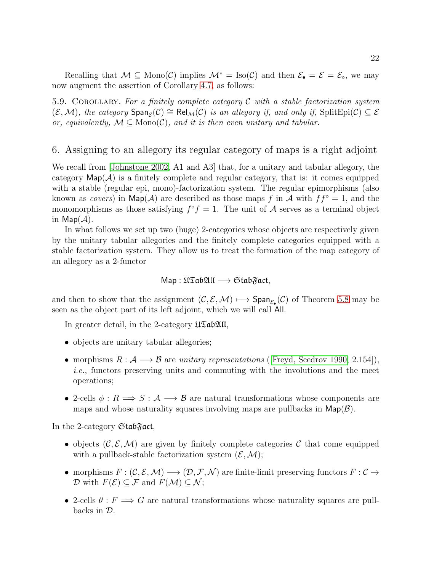Recalling that  $M \subseteq \text{Mono}(\mathcal{C})$  implies  $\mathcal{M}^* = \text{Iso}(\mathcal{C})$  and then  $\mathcal{E}_{\bullet} = \mathcal{E} = \mathcal{E}_{\circ}$ , we may now augment the assertion of Corollary [4.7,](#page-15-1) as follows:

<span id="page-21-0"></span>5.9. COROLLARY. For a finitely complete category  $\mathcal C$  with a stable factorization system  $(\mathcal{E}, \mathcal{M})$ , the category  $\text{Span}_{\mathcal{E}}(\mathcal{C}) \cong \text{Rel}_{\mathcal{M}}(\mathcal{C})$  is an allegory if, and only if,  $\text{SplitEpi}(\mathcal{C}) \subseteq \mathcal{E}$ or, equivalently,  $M \subseteq \text{Mono}(\mathcal{C})$ , and it is then even unitary and tabular.

### 6. Assigning to an allegory its regular category of maps is a right adjoint

We recall from [\[Johnstone 2002,](#page-26-3) A1 and A3] that, for a unitary and tabular allegory, the category  $\mathsf{Map}(\mathcal{A})$  is a finitely complete and regular category, that is: it comes equipped with a stable (regular epi, mono)-factorization system. The regular epimorphisms (also known as *covers*) in  $\mathsf{Map}(\mathcal{A})$  are described as those maps f in  $\mathcal{A}$  with  $ff^{\circ} = 1$ , and the monomorphisms as those satisfying  $f^{\circ} f = 1$ . The unit of A serves as a terminal object in  $\mathsf{Map}(\mathcal{A})$ .

In what follows we set up two (huge) 2-categories whose objects are respectively given by the unitary tabular allegories and the finitely complete categories equipped with a stable factorization system. They allow us to treat the formation of the map category of an allegory as a 2-functor

## Map : UTabAll −→ StabFact,

and then to show that the assignment  $(C, \mathcal{E}, \mathcal{M}) \mapsto \text{Span}_{\mathcal{E}_{\bullet}}(\mathcal{C})$  of Theorem [5.8](#page-20-0) may be seen as the object part of its left adjoint, which we will call All.

In greater detail, in the 2-category  $\mathfrak{U}\mathfrak{Tab}\mathfrak{All}$ ,

- objects are unitary tabular allegories;
- morphisms  $R : \mathcal{A} \longrightarrow \mathcal{B}$  are unitary representations ([\[Freyd, Scedrov 1990,](#page-26-2) 2.154]), i.e., functors preserving units and commuting with the involutions and the meet operations;
- 2-cells  $\phi: R \Longrightarrow S: A \longrightarrow B$  are natural transformations whose components are maps and whose naturality squares involving maps are pullbacks in  $\mathsf{Map}(\mathcal{B})$ .

In the 2-category StabFact,

- objects  $(C, \mathcal{E}, \mathcal{M})$  are given by finitely complete categories C that come equipped with a pullback-stable factorization system  $(\mathcal{E}, \mathcal{M});$
- morphisms  $F: (\mathcal{C}, \mathcal{E}, \mathcal{M}) \longrightarrow (\mathcal{D}, \mathcal{F}, \mathcal{N})$  are finite-limit preserving functors  $F: \mathcal{C} \rightarrow$  $\mathcal D$  with  $F(\mathcal E) \subseteq \mathcal F$  and  $F(\mathcal M) \subseteq \mathcal N$ ;
- 2-cells  $\theta : F \Longrightarrow G$  are natural transformations whose naturality squares are pullbacks in D.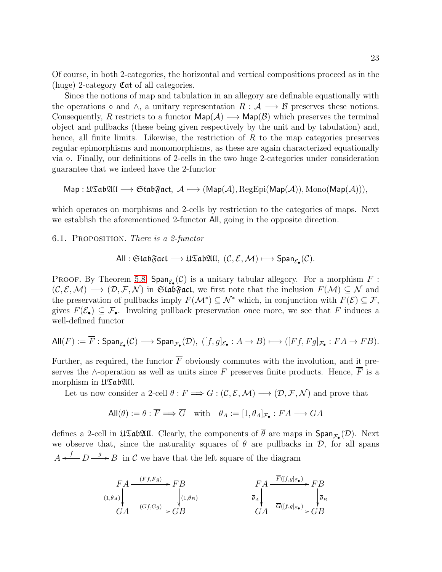Of course, in both 2-categories, the horizontal and vertical compositions proceed as in the (huge) 2-category Cat of all categories.

Since the notions of map and tabulation in an allegory are definable equationally with the operations  $\circ$  and  $\wedge$ , a unitary representation  $R : \mathcal{A} \longrightarrow \mathcal{B}$  preserves these notions. Consequently, R restricts to a functor  $\mathsf{Map}(\mathcal{A}) \longrightarrow \mathsf{Map}(\mathcal{B})$  which preserves the terminal object and pullbacks (these being given respectively by the unit and by tabulation) and, hence, all finite limits. Likewise, the restriction of  $R$  to the map categories preserves regular epimorphisms and monomorphisms, as these are again characterized equationally via ◦. Finally, our definitions of 2-cells in the two huge 2-categories under consideration guarantee that we indeed have the 2-functor

$$
\mathsf{Map}: \mathfrak{U}\mathfrak{Tab}\mathfrak{AU} \longrightarrow \mathfrak{Stab}\mathfrak{Fact}, \ \mathcal{A} \longmapsto (\mathsf{Map}(\mathcal{A}), \mathrm{RegEpi}(\mathsf{Map}(\mathcal{A})), \mathrm{Mono}(\mathsf{Map}(\mathcal{A}))),
$$

which operates on morphisms and 2-cells by restriction to the categories of maps. Next we establish the aforementioned 2-functor All, going in the opposite direction.

6.1. Proposition. There is a 2-functor

All : 
$$
\text{Stab}\mathfrak{Fact} \longrightarrow \mathfrak{U}\mathfrak{Tab}\mathfrak{All}, \ (\mathcal{C}, \mathcal{E}, \mathcal{M}) \longmapsto \text{Span}_{\mathcal{E}_{\bullet}}(\mathcal{C}).
$$

PROOF. By Theorem [5.8,](#page-20-0)  $\text{Span}_{\mathcal{E}_{\bullet}}(\mathcal{C})$  is a unitary tabular allegory. For a morphism F:  $(C, \mathcal{E}, \mathcal{M}) \longrightarrow (\mathcal{D}, \mathcal{F}, \mathcal{N})$  in GtabFact, we first note that the inclusion  $F(\mathcal{M}) \subseteq \mathcal{N}$  and the preservation of pullbacks imply  $F(\mathcal{M}^*) \subseteq \mathcal{N}^*$  which, in conjunction with  $F(\mathcal{E}) \subseteq \mathcal{F}$ , gives  $F(\mathcal{E}_{\bullet}) \subseteq \mathcal{F}_{\bullet}$ . Invoking pullback preservation once more, we see that F induces a well-defined functor

$$
\text{All}(F) := \overline{F} : \text{Span}_{\mathcal{E}_{\bullet}}(\mathcal{C}) \longrightarrow \text{Span}_{\mathcal{F}_{\bullet}}(\mathcal{D}), \ ([f, g]_{\mathcal{E}_{\bullet}} : A \to B) \longmapsto ([Ff, Fg]_{\mathcal{F}_{\bullet}} : FA \to FB).
$$

Further, as required, the functor  $\overline{F}$  obviously commutes with the involution, and it preserves the ∧-operation as well as units since F preserves finite products. Hence,  $\overline{F}$  is a morphism in  $\mathfrak{U}\mathfrak{Tab}\mathfrak{U}\mathfrak{l}$ .

Let us now consider a 2-cell  $\theta : F \Longrightarrow G : (\mathcal{C}, \mathcal{E}, \mathcal{M}) \longrightarrow (\mathcal{D}, \mathcal{F}, \mathcal{N})$  and prove that

$$
\text{All}(\theta) := \overline{\theta} : \overline{F} \Longrightarrow \overline{G} \quad \text{with} \quad \overline{\theta}_A := [1, \theta_A]_{\mathcal{F}_\bullet} : FA \longrightarrow GA
$$

defines a 2-cell in  $\mathfrak{U}\mathfrak{S}\mathfrak{ab}\mathfrak{U}\mathfrak{U}$ . Clearly, the components of  $\theta$  are maps in  $\mathsf{Span}_{\mathcal{F}_{\bullet}}(\mathcal{D})$ . Next we observe that, since the naturality squares of  $\theta$  are pullbacks in  $\mathcal{D}$ , for all spans  $A \xleftarrow{f} D \xrightarrow{g} B$  in C we have that the left square of the diagram

$$
FA \xrightarrow{(Ff, Fg)} FB
$$
  
\n
$$
(1, \theta_A)
$$
  
\n
$$
GA \xrightarrow{(Gf, Gg)} GB
$$
  
\n
$$
FA \xrightarrow{F([f, g]_{\mathcal{E}_{\bullet}})} FB
$$
  
\n
$$
\overline{\theta}_A
$$
  
\n
$$
GA \xrightarrow{\overline{G}([f, g]_{\mathcal{E}_{\bullet}})} GB
$$
  
\n
$$
G
$$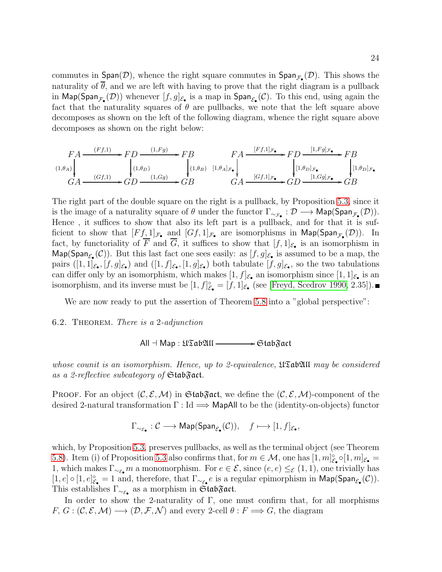commutes in  $Span(\mathcal{D})$ , whence the right square commutes in  $Span_{\mathcal{F}_{\bullet}}(\mathcal{D})$ . This shows the naturality of  $\overline{\theta}$ , and we are left with having to prove that the right diagram is a pullback in  $\mathsf{Map}(\mathsf{Span}_{\mathcal{F}_\bullet}(\mathcal{D}))$  whenever  $[f,g]_{\mathcal{E}_\bullet}$  is a map in  $\mathsf{Span}_{\mathcal{E}_\bullet}(\mathcal{C})$ . To this end, using again the fact that the naturality squares of  $\theta$  are pullbacks, we note that the left square above decomposes as shown on the left of the following diagram, whence the right square above decomposes as shown on the right below:

$$
\begin{array}{ccc}\n F A & \xrightarrow{(Ff,1)} & FD \xrightarrow{(1,Fg)} & FB \\
& & & \downarrow(1,\theta_D) \\
& & & \downarrow(1,\theta_D) \\
& & & \downarrow(1,\theta_D) \\
& & & \downarrow(1,\theta_B) \\
& & & \downarrow(1,\theta_B) \\
& & & \downarrow(1,\theta_D) \\
& & & \downarrow(1,\theta_D) \\
& & & \downarrow(1,\theta_D) \end{array}
$$
\n
$$
\begin{array}{ccc}\n F A & \xrightarrow{[Ff,1]_{\mathcal{F}_{\bullet}}} & F D & \xrightarrow{[1,Fg]_{\mathcal{F}_{\bullet}}} & F B \\
& & & \downarrow(1,\theta_D)_{\mathcal{F}_{\bullet}} \\
& & & \downarrow(1,\theta_D)_{\mathcal{F}_{\bullet}} \\
& & & \downarrow(1,\theta_D)_{\mathcal{F}_{\bullet}} \\
& & & \downarrow(1,\theta_D)_{\mathcal{F}_{\bullet}} \\
& & & \downarrow(1,\theta_D)_{\mathcal{F}_{\bullet}} \\
& & & \downarrow(1,\theta_D)_{\mathcal{F}_{\bullet}} \\
& & & \downarrow(1,\theta_D)_{\mathcal{F}_{\bullet}} \\
& & & \downarrow(1,\theta_D)_{\mathcal{F}_{\bullet}} \\
& & & \downarrow(1,\theta_D)_{\mathcal{F}_{\bullet}} \\
& & & \downarrow(1,\theta_D)_{\mathcal{F}_{\bullet}} \\
& & & \downarrow(1,\theta_D)_{\mathcal{F}_{\bullet}} \\
& & & \downarrow(1,\theta_D)_{\mathcal{F}_{\bullet}} \\
& & & \downarrow(1,\theta_D)_{\mathcal{F}_{\bullet}} \\
& & & \downarrow(1,\theta_D)_{\mathcal{F}_{\bullet}} \\
& & & \downarrow(1,\theta_D)_{\mathcal{F}_{\bullet}} \\
& & & \downarrow(1,\theta_D)_{\mathcal{F}_{\bullet}} \\
& & & \downarrow(1,\theta_D)_{\mathcal{F}_{\bullet
$$

The right part of the double square on the right is a pullback, by Proposition [5.3,](#page-17-0) since it is the image of a naturality square of  $\theta$  under the functor  $\Gamma_{\sim_{\mathcal{F}_{\bullet}}} : \mathcal{D} \longrightarrow \mathsf{Map}(\mathsf{Span}_{\mathcal{F}_{\bullet}}(\mathcal{D})).$ Hence , it suffices to show that also its left part is a pullback, and for that it is sufficient to show that  $[Ff,1]_{\mathcal{F}_{\bullet}}$  and  $[Gf,1]_{\mathcal{F}_{\bullet}}$  are isomorphisms in  $\mathsf{Map}(\mathsf{Span}_{\mathcal{F}_{\bullet}}(\mathcal{D}))$ . In fact, by functoriality of F and G, it suffices to show that  $[f,1]_{\mathcal{E}_{\bullet}}$  is an isomorphism in  $\mathsf{Map}(\mathsf{Span}_{\mathcal{E}_{\bullet}}(\mathcal{C}))$ . But this last fact one sees easily: as  $[f,g]_{\mathcal{E}_{\bullet}}$  is assumed to be a map, the pairs  $([1,1]_{\mathcal{E}_{\bullet}},[f,g]_{\mathcal{E}_{\bullet}})$  and  $([1,f]_{\mathcal{E}_{\bullet}},[1,g]_{\mathcal{E}_{\bullet}})$  both tabulate  $[f,g]_{\mathcal{E}_{\bullet}},$  so the two tabulations can differ only by an isomorphism, which makes  $[1, f]_{\mathcal{E}_{\bullet}}$  an isomorphism since  $[1, 1]_{\mathcal{E}_{\bullet}}$  is an isomorphism, and its inverse must be  $[1, f]_{\varepsilon_{\bullet}}^{\circ} = [f, 1]_{\varepsilon_{\bullet}}$  (see [\[Freyd, Scedrov 1990,](#page-26-2) 2.35]).

We are now ready to put the assertion of Theorem [5.8](#page-20-0) into a "global perspective":

#### <span id="page-23-0"></span>6.2. THEOREM. There is a 2-adjunction

 $All \dashv Map : \mathfrak{U}\mathfrak{Tab}\mathfrak{AU} \longrightarrow \mathfrak{Stab}\mathfrak{Fact}$ 

whose counit is an isomorphism. Hence, up to 2-equivalence,  $\mathfrak{U}\mathfrak{S}\text{ab}\mathfrak{U}\mathfrak{U}$  may be considered as a 2-reflective subcategory of  $Stab$ gact.

**PROOF.** For an object  $(C, \mathcal{E}, \mathcal{M})$  in GtabGact, we define the  $(C, \mathcal{E}, \mathcal{M})$ -component of the desired 2-natural transformation  $\Gamma : \text{Id} \longrightarrow \text{MapAll}$  to be the (identity-on-objects) functor

$$
\Gamma_{\sim_{\mathcal{E}_{\bullet}}} : \mathcal{C} \longrightarrow \mathsf{Map}(\mathsf{Span}_{\mathcal{E}_{\bullet}}(\mathcal{C})), \quad f \longmapsto [1, f]_{\mathcal{E}_{\bullet}},
$$

which, by Proposition [5.3,](#page-17-0) preserves pullbacks, as well as the terminal object (see Theorem [5.8\)](#page-20-0). Item (i) of Proposition [5.3](#page-17-0) also confirms that, for  $m \in \mathcal{M}$ , one has  $[1, m]_{\mathcal{E}_\bullet}^{\circ} \circ [1, m]_{\mathcal{E}_\bullet} =$ 1, which makes  $\Gamma_{\sim \varepsilon} m$  a monomorphism. For  $e \in \mathcal{E}$ , since  $(e, e) \leq_{\mathcal{E}} (1, 1)$ , one trivially has  $[1, e] \circ [1, e]_{\mathcal{E}_{\bullet}}^{\circ} = 1$  and, therefore, that  $\Gamma_{\sim_{\mathcal{E}_{\bullet}}} e$  is a regular epimorphism in  $\mathsf{Map}(\mathsf{Span}_{\mathcal{E}_{\bullet}}(\mathcal{C}))$ . This establishes  $\Gamma_{\sim \varepsilon_{\bullet}}$  as a morphism in  $\mathfrak{Stab}\mathfrak{Fact}.$ 

In order to show the 2-naturality of  $\Gamma$ , one must confirm that, for all morphisms  $F, G: (\mathcal{C}, \mathcal{E}, \mathcal{M}) \longrightarrow (\mathcal{D}, \mathcal{F}, \mathcal{N})$  and every 2-cell  $\theta: F \Longrightarrow G$ , the diagram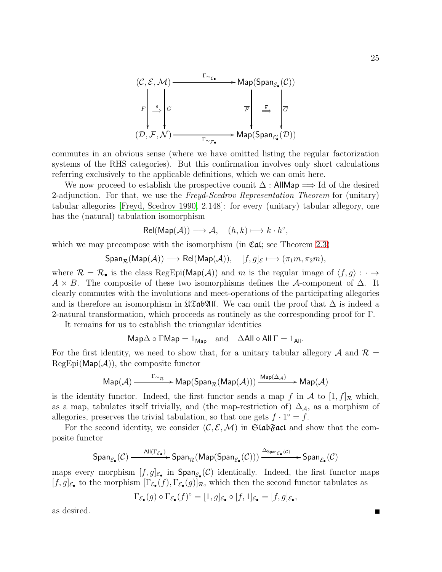

commutes in an obvious sense (where we have omitted listing the regular factorization systems of the RHS categories). But this confirmation involves only short calculations referring exclusively to the applicable definitions, which we can omit here.

We now proceed to establish the prospective counit  $\Delta$ : AllMap  $\implies$  Id of the desired 2-adjunction. For that, we use the Freyd-Scedrov Representation Theorem for (unitary) tabular allegories [\[Freyd, Scedrov 1990,](#page-26-2) 2.148]: for every (unitary) tabular allegory, one has the (natural) tabulation isomorphism

$$
Rel(Map(\mathcal{A})) \longrightarrow \mathcal{A}, \quad (h,k) \longmapsto k \cdot h^{\circ},
$$

which we may precompose with the isomorphism (in  $\mathfrak{Cat}$ ; see Theorem [2.3\)](#page-4-0)

$$
\text{Span}_{\mathcal{R}}(\text{Map}(\mathcal{A})) \longrightarrow \text{Rel}(\text{Map}(\mathcal{A})), \quad [f, g]_{\mathcal{E}} \longmapsto (\pi_1 m, \pi_2 m),
$$

where  $\mathcal{R} = \mathcal{R}_{\bullet}$  is the class RegEpi(Map(A)) and m is the regular image of  $\langle f, g \rangle : \cdot \rightarrow$  $A \times B$ . The composite of these two isomorphisms defines the A-component of  $\Delta$ . It clearly commutes with the involutions and meet-operations of the participating allegories and is therefore an isomorphism in  $\mathfrak{U}\mathfrak{S}\mathfrak{ab}\mathfrak{U}\mathfrak{U}$ . We can omit the proof that  $\Delta$  is indeed a 2-natural transformation, which proceeds as routinely as the corresponding proof for Γ.

It remains for us to establish the triangular identities

$$
Map\Delta \circ \Gamma Map = 1_{Map} \quad \text{and} \quad \Delta All \circ All \Gamma = 1_{All}.
$$

For the first identity, we need to show that, for a unitary tabular allegory A and  $\mathcal{R} =$  $RegEpi(Map(\mathcal{A}))$ , the composite functor

$$
\mathsf{Map}(\mathcal{A}) \xrightarrow{\Gamma_{\sim_{\mathcal{R}}}} \mathsf{Map}(\mathsf{Span}_{\mathcal{R}}(\mathsf{Map}(\mathcal{A}))) \xrightarrow{\mathsf{Map}(\Delta_{\mathcal{A}})} \mathsf{Map}(\mathcal{A})
$$

is the identity functor. Indeed, the first functor sends a map f in A to  $[1, f]_{\mathcal{R}}$  which, as a map, tabulates itself trivially, and (the map-restriction of)  $\Delta_{\mathcal{A}}$ , as a morphism of allegories, preserves the trivial tabulation, so that one gets  $f \cdot 1^\circ = f$ .

For the second identity, we consider  $(C, \mathcal{E}, \mathcal{M})$  in GtabGact and show that the composite functor

$$
\text{Span}_{\mathcal{E}_{\bullet}}(\mathcal{C}) \xrightarrow{\quad \text{All}(\Gamma_{\mathcal{E}_{\bullet}})} \text{Span}_{\mathcal{R}}(\text{Map}(\text{Span}_{\mathcal{E}_{\bullet}}(\mathcal{C}))) \xrightarrow{\Delta_{\text{Span}_{\mathcal{E}_{\bullet}}(\mathcal{C})}} \text{Span}_{\mathcal{E}_{\bullet}}(\mathcal{C})
$$

maps every morphism  $[f, g]_{\mathcal{E}_{\bullet}}$  in  $\textsf{Span}_{\mathcal{E}_{\bullet}}(\mathcal{C})$  identically. Indeed, the first functor maps  $[f,g]_{\mathcal{E}_{\bullet}}$  to the morphism  $[\Gamma_{\mathcal{E}_{\bullet}}(f),\Gamma_{\mathcal{E}_{\bullet}}(g)]_{\mathcal{R}}$ , which then the second functor tabulates as

$$
\Gamma_{\mathcal{E}_\bullet}(g)\circ \Gamma_{\mathcal{E}_\bullet}(f)^\circ = [1,g]_{\mathcal{E}_\bullet}\circ [f,1]_{\mathcal{E}_\bullet} = [f,g]_{\mathcal{E}_\bullet},
$$

as desired.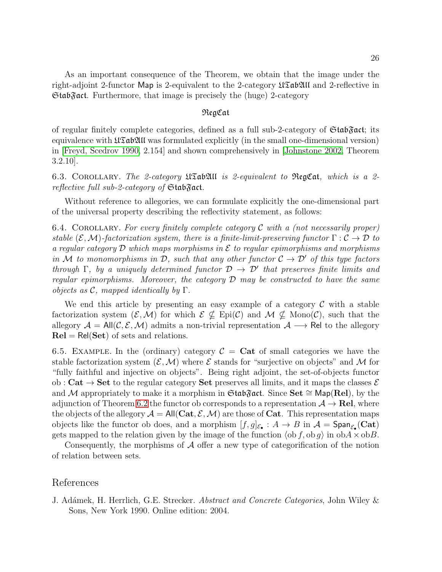As an important consequence of the Theorem, we obtain that the image under the right-adjoint 2-functor Map is 2-equivalent to the 2-category  $\mathfrak{U}\mathfrak{S}\mathfrak{a}\mathfrak{b}\mathfrak{U}\mathfrak{l}$  and 2-reflective in  $\mathfrak{Stab}$  act. Furthermore, that image is precisely the (huge) 2-category

### RegCat

of regular finitely complete categories, defined as a full sub-2-category of  $\mathfrak{Stab}\mathfrak{Fact}$ ; its equivalence with  $\mathfrak{U} \mathfrak{S}$  above formulated explicitly (in the small one-dimensional version) in [\[Freyd, Scedrov 1990,](#page-26-2) 2.154] and shown comprehensively in [\[Johnstone 2002,](#page-26-3) Theorem 3.2.10].

6.3. Corollary. The 2-category UTabAll is 2-equivalent to RegCat, which is a 2 reflective full sub-2-category of  $Stab\$ gact.

Without reference to allegories, we can formulate explicitly the one-dimensional part of the universal property describing the reflectivity statement, as follows:

6.4. COROLLARY. For every finitely complete category  $\mathcal C$  with a (not necessarily proper) stable  $(\mathcal{E},\mathcal{M})$ -factorization system, there is a finite-limit-preserving functor  $\Gamma:\mathcal{C}\to\mathcal{D}$  to a regular category  $\mathcal D$  which maps morphisms in  $\mathcal E$  to regular epimorphisms and morphisms in M to monomorphisms in D, such that any other functor  $\mathcal{C} \to \mathcal{D}'$  of this type factors through  $\Gamma$ , by a uniquely determined functor  $\mathcal{D} \to \mathcal{D}'$  that preserves finite limits and regular epimorphisms. Moreover, the category  $\mathcal D$  may be constructed to have the same objects as  $\mathcal C$ , mapped identically by  $\Gamma$ .

We end this article by presenting an easy example of a category  $\mathcal C$  with a stable factorization system  $(\mathcal{E},\mathcal{M})$  for which  $\mathcal{E} \nsubseteq$  Epi(C) and  $\mathcal{M} \nsubseteq \text{Mono}(\mathcal{C})$ , such that the allegory  $A = All(C, \mathcal{E}, \mathcal{M})$  admits a non-trivial representation  $A \longrightarrow \mathsf{Rel}$  to the allegory  $Rel = Rel(Set)$  of sets and relations.

6.5. EXAMPLE. In the (ordinary) category  $\mathcal{C} = \mathbf{Cat}$  of small categories we have the stable factorization system  $(\mathcal{E},\mathcal{M})$  where  $\mathcal E$  stands for "surjective on objects" and M for "fully faithful and injective on objects". Being right adjoint, the set-of-objects functor ob : Cat  $\rightarrow$  Set to the regular category Set preserves all limits, and it maps the classes  $\mathcal E$ and M appropriately to make it a morphism in Gtab $\mathfrak{F}$ act. Since Set ≅ Map(Rel), by the adjunction of Theorem [6.2](#page-23-0) the functor ob corresponds to a representation  $A \rightarrow \text{Rel}$ , where the objects of the allegory  $A = All(Cat, \mathcal{E}, \mathcal{M})$  are those of Cat. This representation maps objects like the functor ob does, and a morphism  $[f,g]_{\mathcal{E}_{\bullet}}: A \to B$  in  $\mathcal{A} = \text{Span}_{\mathcal{E}_{\bullet}}(\mathbf{Cat})$ gets mapped to the relation given by the image of the function  $\langle \text{ob } f, \text{ob } g \rangle$  in  $\text{ob } A \times \text{ob } B$ .

Consequently, the morphisms of  $\mathcal A$  offer a new type of categorification of the notion of relation between sets.

#### References

<span id="page-25-0"></span>J. Adámek, H. Herrlich, G.E. Strecker. *Abstract and Concrete Categories*, John Wiley & Sons, New York 1990. Online edition: 2004.